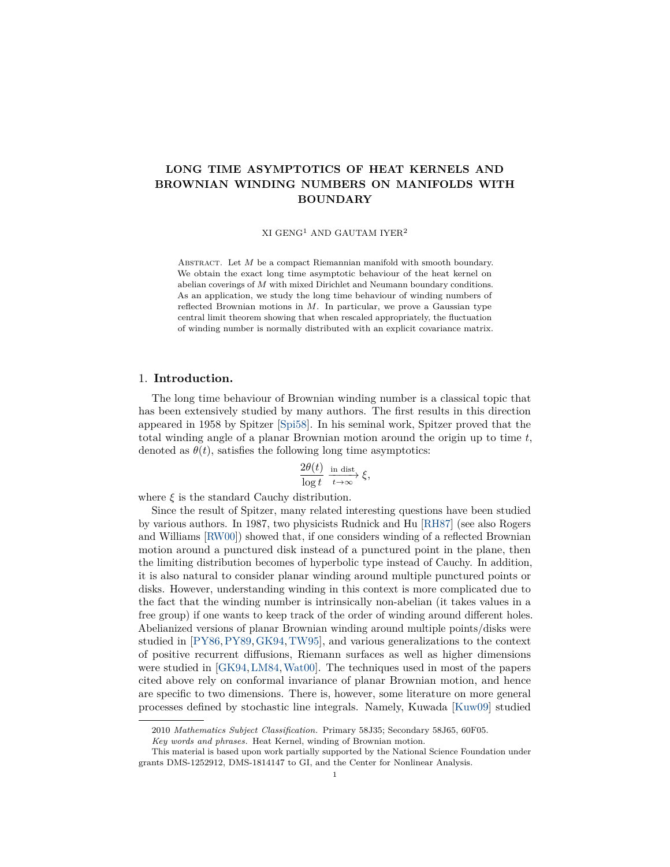# **LONG TIME ASYMPTOTICS OF HEAT KERNELS AND BROWNIAN WINDING NUMBERS ON MANIFOLDS WITH BOUNDARY**

XI $\rm GENG^1$  AND  $\rm GAUTAM$   $\rm IYER^2$ 

ABSTRACT. Let *M* be a compact Riemannian manifold with smooth boundary. We obtain the exact long time asymptotic behaviour of the heat kernel on abelian coverings of *M* with mixed Dirichlet and Neumann boundary conditions. As an application, we study the long time behaviour of winding numbers of reflected Brownian motions in *M*. In particular, we prove a Gaussian type central limit theorem showing that when rescaled appropriately, the fluctuation of winding number is normally distributed with an explicit covariance matrix.

### 1. **Introduction.**

The long time behaviour of Brownian winding number is a classical topic that has been extensively studied by many authors. The first results in this direction appeared in 1958 by Spitzer [\[Spi58\]](#page-29-0). In his seminal work, Spitzer proved that the total winding angle of a planar Brownian motion around the origin up to time *t*, denoted as  $\theta(t)$ , satisfies the following long time asymptotics:

$$
\frac{2\theta(t)}{\log t} \xrightarrow[t \to \infty]{\text{in dist}} \xi,
$$

where  $\xi$  is the standard Cauchy distribution.

Since the result of Spitzer, many related interesting questions have been studied by various authors. In 1987, two physicists Rudnick and Hu [\[RH87\]](#page-28-0) (see also Rogers and Williams [\[RW00\]](#page-29-1)) showed that, if one considers winding of a reflected Brownian motion around a punctured disk instead of a punctured point in the plane, then the limiting distribution becomes of hyperbolic type instead of Cauchy. In addition, it is also natural to consider planar winding around multiple punctured points or disks. However, understanding winding in this context is more complicated due to the fact that the winding number is intrinsically non-abelian (it takes values in a free group) if one wants to keep track of the order of winding around different holes. Abelianized versions of planar Brownian winding around multiple points/disks were studied in [\[PY86,](#page-28-1)[PY89,](#page-28-2)[GK94,](#page-28-3)[TW95\]](#page-29-2), and various generalizations to the context of positive recurrent diffusions, Riemann surfaces as well as higher dimensions were studied in [\[GK94,](#page-28-3)[LM84,](#page-28-4)[Wat00\]](#page-29-3). The techniques used in most of the papers cited above rely on conformal invariance of planar Brownian motion, and hence are specific to two dimensions. There is, however, some literature on more general processes defined by stochastic line integrals. Namely, Kuwada [\[Kuw09\]](#page-28-5) studied

<sup>2010</sup> *Mathematics Subject Classification.* Primary 58J35; Secondary 58J65, 60F05.

*Key words and phrases.* Heat Kernel, winding of Brownian motion.

This material is based upon work partially supported by the National Science Foundation under grants DMS-1252912, DMS-1814147 to GI, and the Center for Nonlinear Analysis.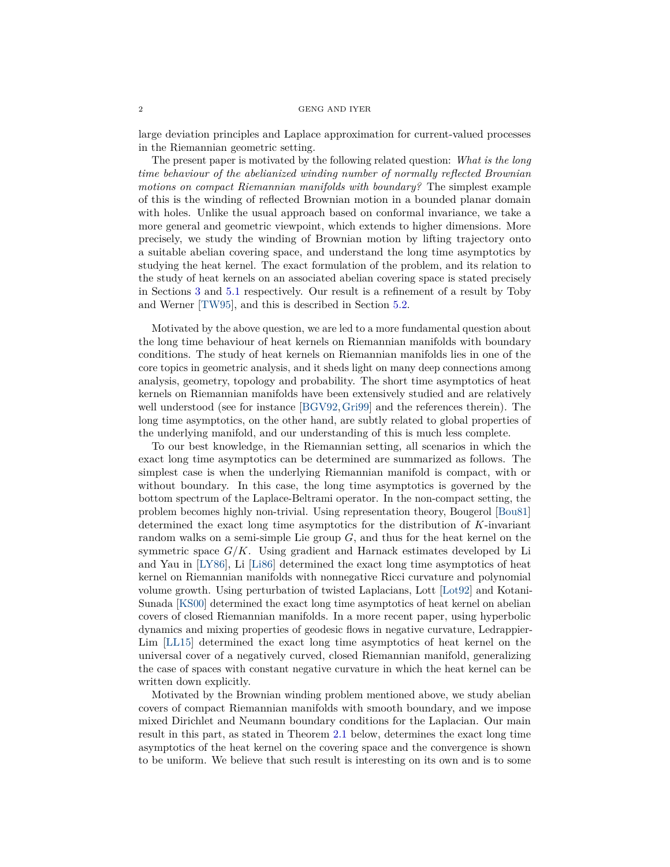#### $2\,$  GENG AND IYER

large deviation principles and Laplace approximation for current-valued processes in the Riemannian geometric setting.

The present paper is motivated by the following related question: *What is the long time behaviour of the abelianized winding number of normally reflected Brownian motions on compact Riemannian manifolds with boundary?* The simplest example of this is the winding of reflected Brownian motion in a bounded planar domain with holes. Unlike the usual approach based on conformal invariance, we take a more general and geometric viewpoint, which extends to higher dimensions. More precisely, we study the winding of Brownian motion by lifting trajectory onto a suitable abelian covering space, and understand the long time asymptotics by studying the heat kernel. The exact formulation of the problem, and its relation to the study of heat kernels on an associated abelian covering space is stated precisely in Sections [3](#page-5-0) and [5.1](#page-23-0) respectively. Our result is a refinement of a result by Toby and Werner [\[TW95\]](#page-29-2), and this is described in Section [5.2.](#page-25-0)

Motivated by the above question, we are led to a more fundamental question about the long time behaviour of heat kernels on Riemannian manifolds with boundary conditions. The study of heat kernels on Riemannian manifolds lies in one of the core topics in geometric analysis, and it sheds light on many deep connections among analysis, geometry, topology and probability. The short time asymptotics of heat kernels on Riemannian manifolds have been extensively studied and are relatively well understood (see for instance [\[BGV92,](#page-28-6)[Gri99\]](#page-28-7) and the references therein). The long time asymptotics, on the other hand, are subtly related to global properties of the underlying manifold, and our understanding of this is much less complete.

To our best knowledge, in the Riemannian setting, all scenarios in which the exact long time asymptotics can be determined are summarized as follows. The simplest case is when the underlying Riemannian manifold is compact, with or without boundary. In this case, the long time asymptotics is governed by the bottom spectrum of the Laplace-Beltrami operator. In the non-compact setting, the problem becomes highly non-trivial. Using representation theory, Bougerol [\[Bou81\]](#page-28-8) determined the exact long time asymptotics for the distribution of *K*-invariant random walks on a semi-simple Lie group *G*, and thus for the heat kernel on the symmetric space *G/K*. Using gradient and Harnack estimates developed by Li and Yau in [\[LY86\]](#page-28-9), Li [\[Li86\]](#page-28-10) determined the exact long time asymptotics of heat kernel on Riemannian manifolds with nonnegative Ricci curvature and polynomial volume growth. Using perturbation of twisted Laplacians, Lott [\[Lot92\]](#page-28-11) and Kotani-Sunada [\[KS00\]](#page-28-12) determined the exact long time asymptotics of heat kernel on abelian covers of closed Riemannian manifolds. In a more recent paper, using hyperbolic dynamics and mixing properties of geodesic flows in negative curvature, Ledrappier-Lim [\[LL15\]](#page-28-13) determined the exact long time asymptotics of heat kernel on the universal cover of a negatively curved, closed Riemannian manifold, generalizing the case of spaces with constant negative curvature in which the heat kernel can be written down explicitly.

Motivated by the Brownian winding problem mentioned above, we study abelian covers of compact Riemannian manifolds with smooth boundary, and we impose mixed Dirichlet and Neumann boundary conditions for the Laplacian. Our main result in this part, as stated in Theorem [2.1](#page-3-0) below, determines the exact long time asymptotics of the heat kernel on the covering space and the convergence is shown to be uniform. We believe that such result is interesting on its own and is to some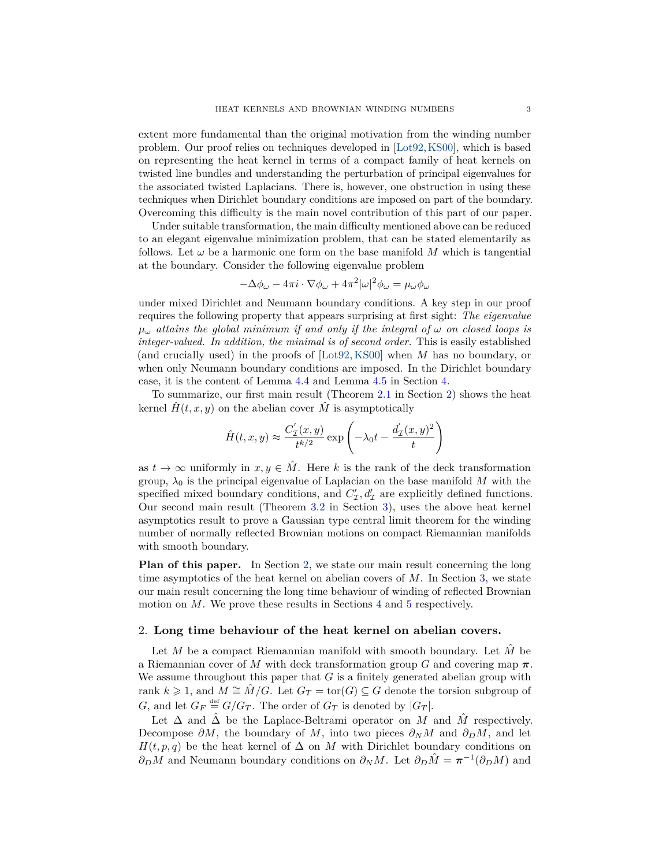extent more fundamental than the original motivation from the winding number problem. Our proof relies on techniques developed in [\[Lot92,](#page-28-11)[KS00\]](#page-28-12), which is based on representing the heat kernel in terms of a compact family of heat kernels on twisted line bundles and understanding the perturbation of principal eigenvalues for the associated twisted Laplacians. There is, however, one obstruction in using these techniques when Dirichlet boundary conditions are imposed on part of the boundary. Overcoming this difficulty is the main novel contribution of this part of our paper.

Under suitable transformation, the main difficulty mentioned above can be reduced to an elegant eigenvalue minimization problem, that can be stated elementarily as follows. Let  $\omega$  be a harmonic one form on the base manifold M which is tangential at the boundary. Consider the following eigenvalue problem

$$
-\Delta\phi_\omega - 4\pi i\cdot\nabla\phi_\omega + 4\pi^2|\omega|^2\phi_\omega = \mu_\omega\phi_\omega
$$

under mixed Dirichlet and Neumann boundary conditions. A key step in our proof requires the following property that appears surprising at first sight: *The eigenvalue*  $\mu_{\omega}$  *attains the global minimum if and only if the integral of*  $\omega$  *on closed loops is integer-valued. In addition, the minimal is of second order.* This is easily established (and crucially used) in the proofs of [\[Lot92,](#page-28-11)[KS00\]](#page-28-12) when *M* has no boundary, or when only Neumann boundary conditions are imposed. In the Dirichlet boundary case, it is the content of Lemma [4.4](#page-10-0) and Lemma [4.5](#page-11-0) in Section [4.](#page-8-0)

To summarize, our first main result (Theorem [2.1](#page-3-0) in Section [2\)](#page-2-0) shows the heat kernel  $\hat{H}(t, x, y)$  on the abelian cover  $\hat{M}$  is asymptotically

$$
\hat{H}(t,x,y) \approx \frac{C'_\mathcal{I}(x,y)}{t^{k/2}} \exp\left(-\lambda_0 t - \frac{d'_\mathcal{I}(x,y)^2}{t}\right)
$$

as  $t \to \infty$  uniformly in  $x, y \in \hat{M}$ . Here k is the rank of the deck transformation group,  $\lambda_0$  is the principal eigenvalue of Laplacian on the base manifold *M* with the specified mixed boundary conditions, and  $C'_{\mathcal{I}}, d'_{\mathcal{I}}$  are explicitly defined functions. Our second main result (Theorem [3.2](#page-6-0) in Section [3\)](#page-5-0), uses the above heat kernel asymptotics result to prove a Gaussian type central limit theorem for the winding number of normally reflected Brownian motions on compact Riemannian manifolds with smooth boundary.

**Plan of this paper.** In Section [2,](#page-2-0) we state our main result concerning the long time asymptotics of the heat kernel on abelian covers of *M*. In Section [3,](#page-5-0) we state our main result concerning the long time behaviour of winding of reflected Brownian motion on *M*. We prove these results in Sections [4](#page-8-0) and [5](#page-23-1) respectively.

### <span id="page-2-0"></span>2. **Long time behaviour of the heat kernel on abelian covers.**

Let *M* be a compact Riemannian manifold with smooth boundary. Let  $\hat{M}$  be a Riemannian cover of *M* with deck transformation group *G* and covering map *π*. We assume throughout this paper that *G* is a finitely generated abelian group with rank  $k \ge 1$ , and  $M \cong M/G$ . Let  $G_T = \text{tor}(G) \subseteq G$  denote the torsion subgroup of *G*, and let  $G_F \stackrel{\text{def}}{=} G/G_T$ . The order of  $G_T$  is denoted by  $|G_T|$ .

Let  $\Delta$  and  $\hat{\Delta}$  be the Laplace-Beltrami operator on *M* and  $\hat{M}$  respectively. Decompose  $\partial M$ , the boundary of M, into two pieces  $\partial_N M$  and  $\partial_D M$ , and let  $H(t, p, q)$  be the heat kernel of  $\Delta$  on *M* with Dirichlet boundary conditions on *∂*<sup>*D*</sup>*M* and Neumann boundary conditions on  $\partial_N M$ . Let  $\partial_D \hat{M} = \pi^{-1}(\partial_D M)$  and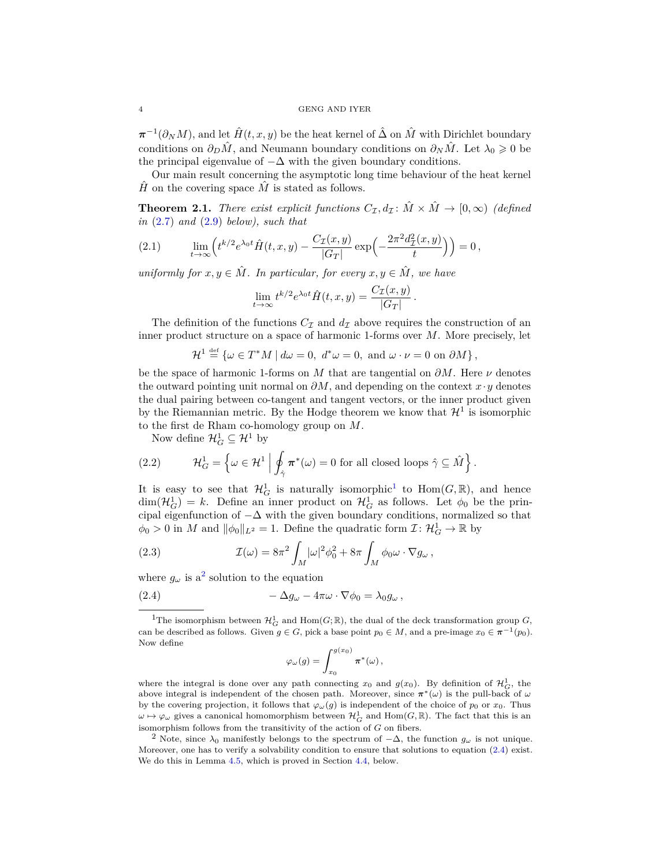#### 4 GENG AND IYER

 $\pi^{-1}(\partial_N M)$ , and let  $\hat{H}(t, x, y)$  be the heat kernel of  $\hat{\Delta}$  on  $\hat{M}$  with Dirichlet boundary conditions on  $\partial_D \hat{M}$ , and Neumann boundary conditions on  $\partial_N \hat{M}$ . Let  $\lambda_0 \geq 0$  be the principal eigenvalue of  $-\Delta$  with the given boundary conditions.

Our main result concerning the asymptotic long time behaviour of the heat kernel  $\hat{H}$  on the covering space  $\hat{M}$  is stated as follows.

<span id="page-3-0"></span>**Theorem 2.1.** *There exist explicit functions*  $C_{\mathcal{I}}, d_{\mathcal{I}}$ :  $\hat{M} \times \hat{M} \rightarrow [0, \infty)$  *(defined in* [\(2.7\)](#page-4-0) *and* [\(2.9\)](#page-4-1) *below), such that*

<span id="page-3-5"></span>(2.1) 
$$
\lim_{t \to \infty} \left( t^{k/2} e^{\lambda_0 t} \hat{H}(t, x, y) - \frac{C_{\mathcal{I}}(x, y)}{|G_T|} \exp\left(-\frac{2\pi^2 d_{\mathcal{I}}^2(x, y)}{t}\right)\right) = 0,
$$

*uniformly for*  $x, y \in \hat{M}$ . In particular, for every  $x, y \in \hat{M}$ , we have

$$
\lim_{t \to \infty} t^{k/2} e^{\lambda_0 t} \hat{H}(t, x, y) = \frac{C_{\mathcal{I}}(x, y)}{|G_T|}.
$$

The definition of the functions  $C_{\mathcal{I}}$  and  $d_{\mathcal{I}}$  above requires the construction of an inner product structure on a space of harmonic 1-forms over *M*. More precisely, let

$$
\mathcal{H}^1 \stackrel{\text{def}}{=} \{ \omega \in T^*M \mid d\omega = 0, \ d^*\omega = 0, \text{ and } \omega \cdot \nu = 0 \text{ on } \partial M \},
$$

be the space of harmonic 1-forms on *M* that are tangential on  $\partial M$ . Here  $\nu$  denotes the outward pointing unit normal on *∂M*, and depending on the context *x*·*y* denotes the dual pairing between co-tangent and tangent vectors, or the inner product given by the Riemannian metric. By the Hodge theorem we know that  $\mathcal{H}^1$  is isomorphic to the first de Rham co-homology group on *M*.

Now define  $\mathcal{H}_G^1 \subseteq \mathcal{H}^1$  by

(2.2) 
$$
\mathcal{H}_G^1 = \left\{ \omega \in \mathcal{H}^1 \middle| \oint_{\hat{\gamma}} \pi^*(\omega) = 0 \text{ for all closed loops } \hat{\gamma} \subseteq \hat{M} \right\}.
$$

It is easy to see that  $\mathcal{H}_G^1$  $\mathcal{H}_G^1$  is naturally isomorphic<sup>1</sup> to  $Hom(G, \mathbb{R})$ , and hence  $\dim(\mathcal{H}_G^1) = k$ . Define an inner product on  $\mathcal{H}_G^1$  as follows. Let  $\phi_0$  be the principal eigenfunction of  $-\Delta$  with the given boundary conditions, normalized so that  $\phi_0 > 0$  in *M* and  $\|\phi_0\|_{L^2} = 1$ . Define the quadratic form  $\mathcal{I}: \mathcal{H}_G^1 \to \mathbb{R}$  by

<span id="page-3-4"></span>(2.3) 
$$
\mathcal{I}(\omega) = 8\pi^2 \int_M |\omega|^2 \phi_0^2 + 8\pi \int_M \phi_0 \omega \cdot \nabla g_\omega,
$$

where  $g_{\omega}$  is a<sup>[2](#page-3-2)</sup> solution to the equation

(2.4) 
$$
-\Delta g_{\omega} - 4\pi \omega \cdot \nabla \phi_0 = \lambda_0 g_{\omega},
$$

<span id="page-3-3"></span>
$$
\varphi_{\omega}(g) = \int_{x_0}^{g(x_0)} \pi^*(\omega),
$$

where the integral is done over any path connecting  $x_0$  and  $g(x_0)$ . By definition of  $\mathcal{H}_G^1$ , the above integral is independent of the chosen path. Moreover, since  $\pi^*(\omega)$  is the pull-back of  $\omega$ by the covering projection, it follows that  $\varphi_{\omega}(g)$  is independent of the choice of  $p_0$  or  $x_0$ . Thus  $\omega \mapsto \varphi_{\omega}$  gives a canonical homomorphism between  $\mathcal{H}^1_G$  and  $\text{Hom}(G,\mathbb{R})$ . The fact that this is an isomorphism follows from the transitivity of the action of *G* on fibers.

<span id="page-3-2"></span><sup>2</sup> Note, since  $\lambda_0$  manifestly belongs to the spectrum of  $-\Delta$ , the function  $g_\omega$  is not unique. Moreover, one has to verify a solvability condition to ensure that solutions to equation [\(2.4\)](#page-3-3) exist. We do this in Lemma [4.5,](#page-11-0) which is proved in Section [4.4,](#page-20-0) below.

<span id="page-3-1"></span><sup>&</sup>lt;sup>1</sup>The isomorphism between  $\mathcal{H}_G^1$  and  $\text{Hom}(G;\mathbb{R})$ , the dual of the deck transformation group  $G$ , can be described as follows. Given  $g \in G$ , pick a base point  $p_0 \in M$ , and a pre-image  $x_0 \in \pi^{-1}(p_0)$ . Now define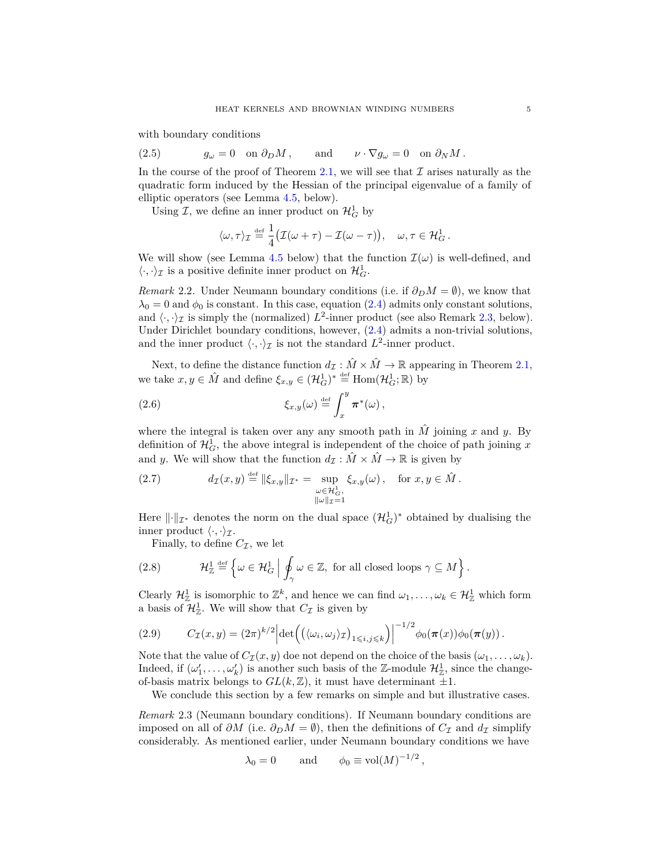with boundary conditions

<span id="page-4-4"></span>(2.5) 
$$
g_{\omega} = 0
$$
 on  $\partial_D M$ , and  $\nu \cdot \nabla g_{\omega} = 0$  on  $\partial_N M$ .

In the course of the proof of Theorem [2.1,](#page-3-0) we will see that  $\mathcal I$  arises naturally as the quadratic form induced by the Hessian of the principal eigenvalue of a family of elliptic operators (see Lemma [4.5,](#page-11-0) below).

Using  $\mathcal{I}$ , we define an inner product on  $\mathcal{H}_G^1$  by

$$
\langle \omega, \tau \rangle_{\mathcal{I}} \stackrel{\text{\tiny def}}{=} \frac{1}{4} \big( \mathcal{I}(\omega + \tau) - \mathcal{I}(\omega - \tau) \big), \quad \omega, \tau \in \mathcal{H}_G^1.
$$

We will show (see Lemma [4.5](#page-11-0) below) that the function  $\mathcal{I}(\omega)$  is well-defined, and  $\langle\cdot,\cdot\rangle_{\mathcal{I}}$  is a positive definite inner product on  $\mathcal{H}^1_G.$ 

*Remark* 2.2. Under Neumann boundary conditions (i.e. if  $\partial_D M = \emptyset$ ), we know that  $\lambda_0 = 0$  and  $\phi_0$  is constant. In this case, equation [\(2.4\)](#page-3-3) admits only constant solutions, and  $\langle \cdot, \cdot \rangle_{\mathcal{I}}$  is simply the (normalized)  $L^2$ -inner product (see also Remark [2.3,](#page-4-2) below). Under Dirichlet boundary conditions, however, [\(2.4\)](#page-3-3) admits a non-trivial solutions, and the inner product  $\langle \cdot, \cdot \rangle_{\mathcal{I}}$  is not the standard  $L^2$ -inner product.

Next, to define the distance function  $d_{\mathcal{I}} : \hat{M} \times \hat{M} \to \mathbb{R}$  appearing in Theorem [2.1,](#page-3-0) we take  $x, y \in \hat{M}$  and define  $\xi_{x,y} \in (\mathcal{H}_G^1)^* \stackrel{\text{def}}{=} \text{Hom}(\mathcal{H}_G^1; \mathbb{R})$  by

<span id="page-4-3"></span>(2.6) 
$$
\xi_{x,y}(\omega) \stackrel{\text{def}}{=} \int_x^y \pi^*(\omega),
$$

where the integral is taken over any any smooth path in  $\hat{M}$  joining  $x$  and  $y$ . By definition of  $\mathcal{H}_G^1$ , the above integral is independent of the choice of path joining x and *y*. We will show that the function  $d_{\mathcal{I}} : \hat{M} \times \hat{M} \to \mathbb{R}$  is given by

<span id="page-4-0"></span>(2.7) 
$$
d_{\mathcal{I}}(x,y) \stackrel{\text{def}}{=} \|\xi_{x,y}\|_{\mathcal{I}^*} = \sup_{\substack{\omega \in \mathcal{H}^1_G, \\ \|\omega\|_{\mathcal{I}} = 1}} \xi_{x,y}(\omega), \text{ for } x, y \in \hat{M}.
$$

Here  $\|\cdot\|_{\mathcal{I}^*}$  denotes the norm on the dual space  $(\mathcal{H}_G^1)^*$  obtained by dualising the inner product  $\langle \cdot, \cdot \rangle_{\mathcal{I}}$ .

Finally, to define  $C_{\mathcal{I}}$ , we let

(2.8) 
$$
\mathcal{H}_{\mathbb{Z}}^1 \stackrel{\text{def}}{=} \left\{ \omega \in \mathcal{H}_G^1 \; \middle| \; \oint_\gamma \omega \in \mathbb{Z}, \text{ for all closed loops } \gamma \subseteq M \right\}.
$$

Clearly  $\mathcal{H}_{\mathbb{Z}}^1$  is isomorphic to  $\mathbb{Z}^k$ , and hence we can find  $\omega_1,\ldots,\omega_k\in\mathcal{H}_{\mathbb{Z}}^1$  which form a basis of  $\mathcal{H}_{\mathbb{Z}}^1$ . We will show that  $C_{\mathcal{I}}$  is given by

<span id="page-4-1"></span>(2.9) 
$$
C_{\mathcal{I}}(x,y) = (2\pi)^{k/2} \left| \det \left( \left( \langle \omega_i, \omega_j \rangle_{\mathcal{I}} \right)_{1 \leqslant i,j \leqslant k} \right) \right|^{-1/2} \phi_0(\pi(x)) \phi_0(\pi(y)).
$$

Note that the value of  $C_{\mathcal{I}}(x, y)$  doe not depend on the choice of the basis  $(\omega_1, \ldots, \omega_k)$ . Indeed, if  $(\omega'_1, \ldots, \omega'_k)$  is another such basis of the Z-module  $\mathcal{H}_{\mathbb{Z}}^1$ , since the changeof-basis matrix belongs to  $GL(k, \mathbb{Z})$ , it must have determinant  $\pm 1$ .

We conclude this section by a few remarks on simple and but illustrative cases.

<span id="page-4-2"></span>*Remark* 2.3 (Neumann boundary conditions)*.* If Neumann boundary conditions are imposed on all of  $\partial M$  (i.e.  $\partial_D M = \emptyset$ ), then the definitions of  $C_I$  and  $d_I$  simplify considerably. As mentioned earlier, under Neumann boundary conditions we have

$$
\lambda_0 = 0 \quad \text{and} \quad \phi_0 \equiv \text{vol}(M)^{-1/2},
$$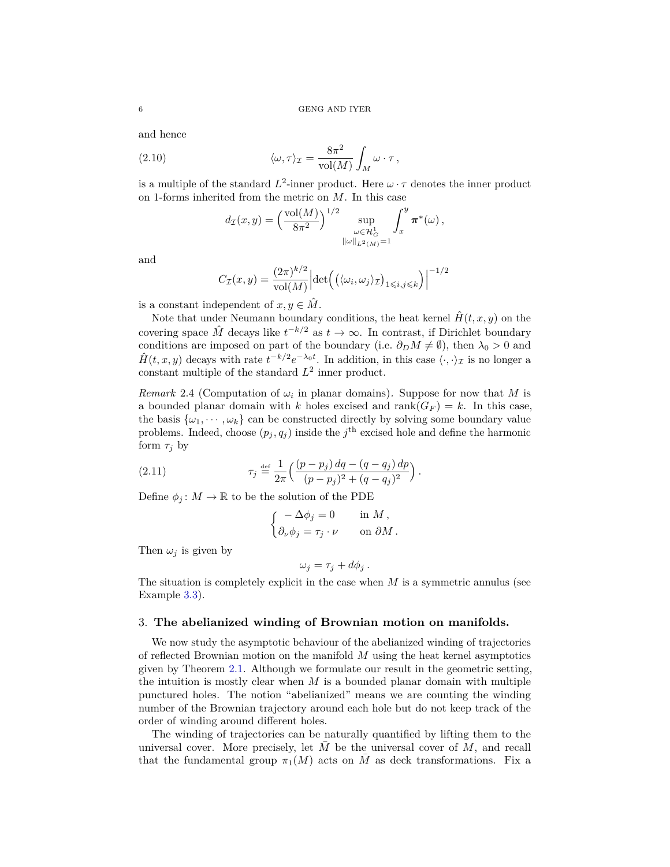and hence

(2.10) 
$$
\langle \omega, \tau \rangle_{\mathcal{I}} = \frac{8\pi^2}{\text{vol}(M)} \int_M \omega \cdot \tau,
$$

is a multiple of the standard  $L^2$ -inner product. Here  $\omega \cdot \tau$  denotes the inner product on 1-forms inherited from the metric on *M*. In this case

<span id="page-5-3"></span>
$$
d_{\mathcal{I}}(x,y) = \left(\frac{\mathrm{vol}(M)}{8\pi^2}\right)^{1/2} \sup_{\substack{\omega \in \mathcal{H}^1_G \\ \|\omega\|_{L^2(M)} = 1}} \int_x^y \pi^*(\omega) ,
$$

and

$$
C_{\mathcal{I}}(x,y) = \frac{(2\pi)^{k/2}}{\text{vol}(M)} \Big| \text{det}\Big( \big( \langle \omega_i, \omega_j \rangle_{\mathcal{I}} \big)_{1 \leqslant i,j \leqslant k} \Big) \Big|^{-1/2}
$$

is a constant independent of  $x, y \in \hat{M}$ .

Note that under Neumann boundary conditions, the heat kernel  $\hat{H}(t, x, y)$  on the covering space  $\hat{M}$  decays like  $t^{-k/2}$  as  $t \to \infty$ . In contrast, if Dirichlet boundary conditions are imposed on part of the boundary (i.e.  $\partial_D M \neq \emptyset$ ), then  $\lambda_0 > 0$  and  $\hat{H}(t, x, y)$  decays with rate  $t^{-k/2}e^{-\lambda_0 t}$ . In addition, in this case  $\langle \cdot, \cdot \rangle_{\mathcal{I}}$  is no longer a constant multiple of the standard  $L^2$  inner product.

<span id="page-5-1"></span>*Remark* 2.4 (Computation of  $\omega_i$  in planar domains). Suppose for now that *M* is a bounded planar domain with *k* holes excised and  $\text{rank}(G_F) = k$ . In this case, the basis  $\{\omega_1, \dots, \omega_k\}$  can be constructed directly by solving some boundary value problems. Indeed, choose  $(p_j, q_j)$  inside the  $j^{\text{th}}$  excised hole and define the harmonic form  $\tau_j$  by

(2.11) 
$$
\tau_j \stackrel{\text{def}}{=} \frac{1}{2\pi} \left( \frac{(p-p_j) dq - (q-q_j) dp}{(p-p_j)^2 + (q-q_j)^2} \right).
$$

Define  $\phi_j : M \to \mathbb{R}$  to be the solution of the PDE

<span id="page-5-2"></span>
$$
\begin{cases}\n-\Delta \phi_j = 0 & \text{in } M, \\
\partial_\nu \phi_j = \tau_j \cdot \nu & \text{on } \partial M.\n\end{cases}
$$

Then  $\omega_i$  is given by

$$
\omega_j = \tau_j + d\phi_j.
$$

The situation is completely explicit in the case when *M* is a symmetric annulus (see Example [3.3\)](#page-7-0).

### <span id="page-5-0"></span>3. **The abelianized winding of Brownian motion on manifolds.**

We now study the asymptotic behaviour of the abelianized winding of trajectories of reflected Brownian motion on the manifold *M* using the heat kernel asymptotics given by Theorem [2.1.](#page-3-0) Although we formulate our result in the geometric setting, the intuition is mostly clear when *M* is a bounded planar domain with multiple punctured holes. The notion "abelianized" means we are counting the winding number of the Brownian trajectory around each hole but do not keep track of the order of winding around different holes.

The winding of trajectories can be naturally quantified by lifting them to the universal cover. More precisely, let  $M$  be the universal cover of  $M$ , and recall that the fundamental group  $\pi_1(M)$  acts on M as deck transformations. Fix a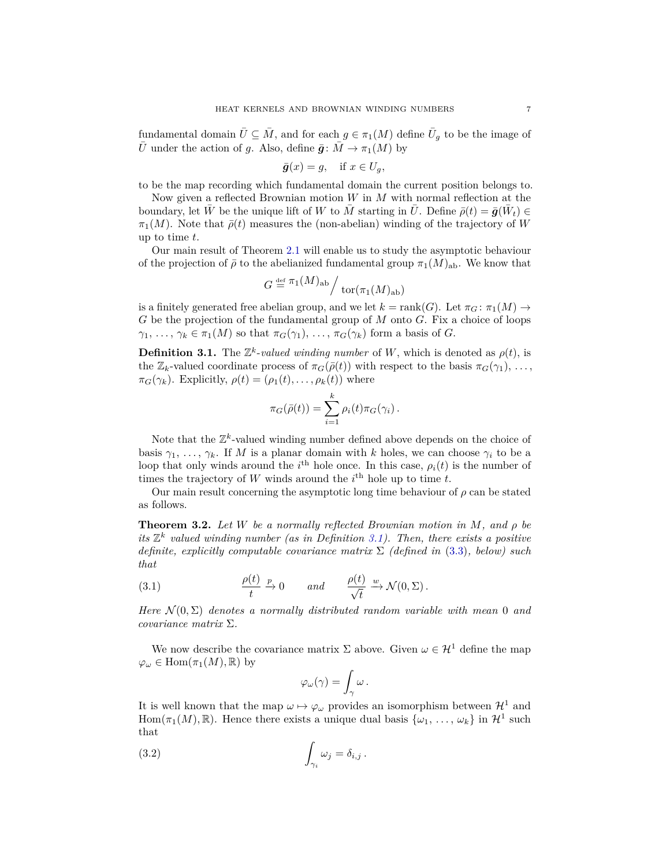fundamental domain  $\bar{U} \subseteq \bar{M}$ , and for each  $g \in \pi_1(M)$  define  $\bar{U}_g$  to be the image of  $\overline{U}$  under the action of *g*. Also, define  $\overline{g}$ :  $\overline{M} \to \pi_1(M)$  by

$$
\bar{g}(x) = g, \quad \text{if } x \in U_g,
$$

to be the map recording which fundamental domain the current position belongs to.

Now given a reflected Brownian motion *W* in *M* with normal reflection at the boundary, let  $\bar{W}$  be the unique lift of  $W$  to  $\bar{M}$  starting in  $\bar{U}$ . Define  $\bar{\rho}(t) = \bar{g}(\bar{W}_t) \in$  $\pi_1(M)$ . Note that  $\bar{\rho}(t)$  measures the (non-abelian) winding of the trajectory of *W* up to time *t*.

Our main result of Theorem [2.1](#page-3-0) will enable us to study the asymptotic behaviour of the projection of  $\bar{\rho}$  to the abelianized fundamental group  $\pi_1(M)_{ab}$ . We know that

$$
G \stackrel{\text{\tiny def}}{=} \pi_1(M)_{\text{ab}} / \operatorname{tor}(\pi_1(M)_{\text{ab}})
$$

is a finitely generated free abelian group, and we let  $k = \text{rank}(G)$ . Let  $\pi_G : \pi_1(M) \to$ *G* be the projection of the fundamental group of *M* onto *G*. Fix a choice of loops  $\gamma_1, \ldots, \gamma_k \in \pi_1(M)$  so that  $\pi_G(\gamma_1), \ldots, \pi_G(\gamma_k)$  form a basis of *G*.

<span id="page-6-1"></span>**Definition 3.1.** The  $\mathbb{Z}^k$ -*valued winding number* of *W*, which is denoted as  $\rho(t)$ , is the  $\mathbb{Z}_k$ -valued coordinate process of  $\pi_G(\bar{\rho}(t))$  with respect to the basis  $\pi_G(\gamma_1), \ldots$ ,  $\pi_G(\gamma_k)$ . Explicitly,  $\rho(t) = (\rho_1(t), \ldots, \rho_k(t))$  where

$$
\pi_G(\bar{\rho}(t)) = \sum_{i=1}^k \rho_i(t) \pi_G(\gamma_i).
$$

Note that the  $\mathbb{Z}^k$ -valued winding number defined above depends on the choice of basis  $\gamma_1, \ldots, \gamma_k$ . If *M* is a planar domain with *k* holes, we can choose  $\gamma_i$  to be a loop that only winds around the *i*<sup>th</sup> hole once. In this case,  $\rho_i(t)$  is the number of times the trajectory of  $W$  winds around the  $i^{\text{th}}$  hole up to time  $t$ .

Our main result concerning the asymptotic long time behaviour of  $\rho$  can be stated as follows.

<span id="page-6-0"></span>**Theorem 3.2.** *Let W be a normally reflected Brownian motion in M, and ρ be its*  $\mathbb{Z}^k$  valued winding number (as in Definition [3.1\)](#page-6-1). Then, there exists a positive *definite, explicitly computable covariance matrix* Σ *(defined in* [\(3.3\)](#page-7-1)*, below) such that*

<span id="page-6-2"></span>(3.1) 
$$
\frac{\rho(t)}{t} \xrightarrow{p} 0 \quad and \quad \frac{\rho(t)}{\sqrt{t}} \xrightarrow{w} \mathcal{N}(0, \Sigma).
$$

*Here*  $\mathcal{N}(0, \Sigma)$  *denotes a normally distributed random variable with mean* 0 *and covariance matrix* Σ*.*

We now describe the covariance matrix  $\Sigma$  above. Given  $\omega \in \mathcal{H}^1$  define the map  $\varphi_{\omega} \in \text{Hom}(\pi_1(M), \mathbb{R})$  by

$$
\varphi_\omega(\gamma) = \int_\gamma \omega \, .
$$

It is well known that the map  $\omega \mapsto \varphi_{\omega}$  provides an isomorphism between  $\mathcal{H}^1$  and Hom $(\pi_1(M), \mathbb{R})$ . Hence there exists a unique dual basis  $\{\omega_1, \ldots, \omega_k\}$  in  $\mathcal{H}^1$  such that

(3.2) 
$$
\int_{\gamma_i} \omega_j = \delta_{i,j} .
$$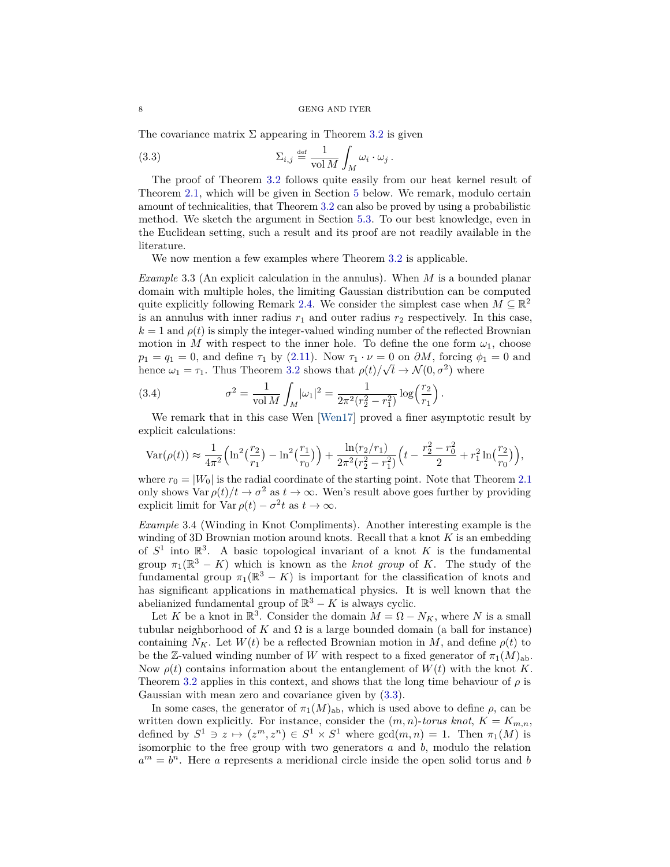The covariance matrix  $\Sigma$  appearing in Theorem [3.2](#page-6-0) is given

<span id="page-7-1"></span>(3.3) 
$$
\Sigma_{i,j} \stackrel{\text{def}}{=} \frac{1}{\text{vol } M} \int_M \omega_i \cdot \omega_j.
$$

The proof of Theorem [3.2](#page-6-0) follows quite easily from our heat kernel result of Theorem [2.1,](#page-3-0) which will be given in Section [5](#page-23-1) below. We remark, modulo certain amount of technicalities, that Theorem [3.2](#page-6-0) can also be proved by using a probabilistic method. We sketch the argument in Section [5.3.](#page-27-0) To our best knowledge, even in the Euclidean setting, such a result and its proof are not readily available in the literature.

We now mention a few examples where Theorem [3.2](#page-6-0) is applicable.

<span id="page-7-0"></span>*Example* 3.3 (An explicit calculation in the annulus)*.* When *M* is a bounded planar domain with multiple holes, the limiting Gaussian distribution can be computed quite explicitly following Remark [2.4.](#page-5-1) We consider the simplest case when  $M \subseteq \mathbb{R}^2$ is an annulus with inner radius  $r_1$  and outer radius  $r_2$  respectively. In this case,  $k = 1$  and  $\rho(t)$  is simply the integer-valued winding number of the reflected Brownian motion in *M* with respect to the inner hole. To define the one form  $\omega_1$ , choose  $p_1 = q_1 = 0$ , and define  $\tau_1$  by [\(2.11\)](#page-5-2). Now  $\tau_1 \cdot \nu = 0$  on  $\partial M$ , forcing  $\phi_1 = 0$  and hence  $\omega_1 = \tau_1$ . Thus Theorem [3.2](#page-6-0) shows that  $\rho(t)/\sqrt{t} \to \mathcal{N}(0, \sigma^2)$  where

(3.4) 
$$
\sigma^2 = \frac{1}{\text{vol }M} \int_M |\omega_1|^2 = \frac{1}{2\pi^2 (r_2^2 - r_1^2)} \log\left(\frac{r_2}{r_1}\right).
$$

We remark that in this case Wen [\[Wen17\]](#page-29-4) proved a finer asymptotic result by explicit calculations:

$$
\text{Var}(\rho(t)) \approx \frac{1}{4\pi^2} \Big( \ln^2\big(\frac{r_2}{r_1}\big) - \ln^2\big(\frac{r_1}{r_0}\big) \Big) + \frac{\ln(r_2/r_1)}{2\pi^2(r_2^2 - r_1^2)} \Big( t - \frac{r_2^2 - r_0^2}{2} + r_1^2 \ln\big(\frac{r_2}{r_0}\big) \Big),
$$

where  $r_0 = |W_0|$  is the radial coordinate of the starting point. Note that Theorem [2.1](#page-3-0) only shows  $\text{Var } \rho(t)/t \to \sigma^2$  as  $t \to \infty$ . Wen's result above goes further by providing explicit limit for  $\text{Var } \rho(t) - \sigma^2 t$  as  $t \to \infty$ .

*Example* 3.4 (Winding in Knot Compliments)*.* Another interesting example is the winding of 3D Brownian motion around knots. Recall that a knot *K* is an embedding of  $S^1$  into  $\mathbb{R}^3$ . A basic topological invariant of a knot K is the fundamental group  $\pi_1(\mathbb{R}^3 - K)$  which is known as the *knot group* of *K*. The study of the fundamental group  $\pi_1(\mathbb{R}^3 - K)$  is important for the classification of knots and has significant applications in mathematical physics. It is well known that the abelianized fundamental group of  $\mathbb{R}^3 - K$  is always cyclic.

Let *K* be a knot in  $\mathbb{R}^3$ . Consider the domain  $M = \Omega - N_K$ , where *N* is a small tubular neighborhood of  $K$  and  $\Omega$  is a large bounded domain (a ball for instance) containing  $N_K$ . Let  $W(t)$  be a reflected Brownian motion in *M*, and define  $\rho(t)$  to be the Z-valued winding number of *W* with respect to a fixed generator of  $\pi_1(M)_{ab}$ . Now  $\rho(t)$  contains information about the entanglement of  $W(t)$  with the knot K. Theorem [3.2](#page-6-0) applies in this context, and shows that the long time behaviour of  $\rho$  is Gaussian with mean zero and covariance given by [\(3.3\)](#page-7-1).

In some cases, the generator of  $\pi_1(M)_{ab}$ , which is used above to define  $\rho$ , can be written down explicitly. For instance, consider the  $(m, n)$ -*torus knot*,  $K = K_{m,n}$ , defined by  $S^1 \ni z \mapsto (z^m, z^n) \in S^1 \times S^1$  where  $gcd(m, n) = 1$ . Then  $\pi_1(M)$  is isomorphic to the free group with two generators *a* and *b*, modulo the relation  $a^m = b^n$ . Here *a* represents a meridional circle inside the open solid torus and *b*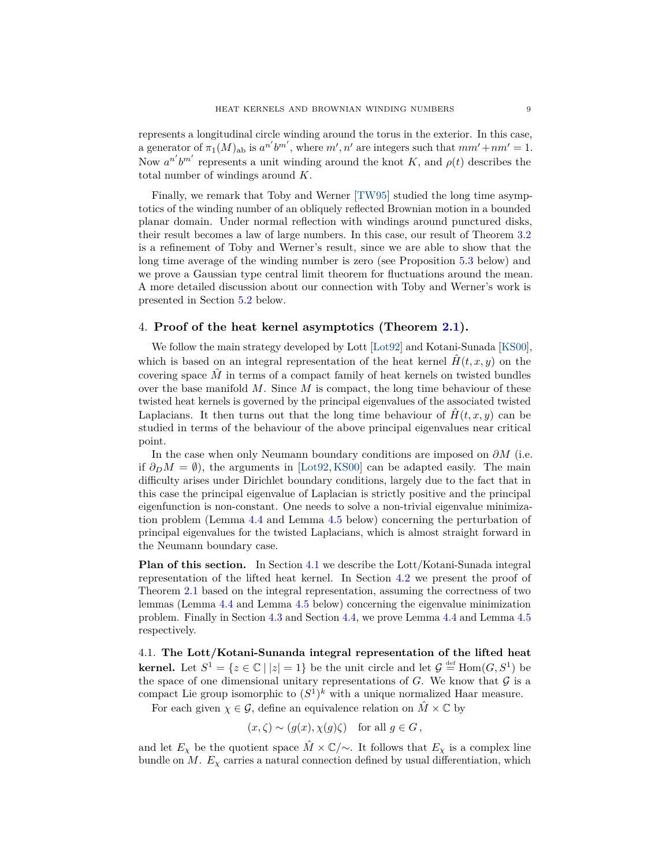represents a longitudinal circle winding around the torus in the exterior. In this case, a generator of  $\pi_1(M)_{ab}$  is  $a^{n'}b^{m'}$ , where  $m', n'$  are integers such that  $mm'+nm'=1$ . Now  $a^{n'}b^{m'}$  represents a unit winding around the knot *K*, and  $\rho(t)$  describes the total number of windings around *K*.

Finally, we remark that Toby and Werner [\[TW95\]](#page-29-2) studied the long time asymptotics of the winding number of an obliquely reflected Brownian motion in a bounded planar domain. Under normal reflection with windings around punctured disks, their result becomes a law of large numbers. In this case, our result of Theorem [3.2](#page-6-0) is a refinement of Toby and Werner's result, since we are able to show that the long time average of the winding number is zero (see Proposition [5.3](#page-26-0) below) and we prove a Gaussian type central limit theorem for fluctuations around the mean. A more detailed discussion about our connection with Toby and Werner's work is presented in Section [5.2](#page-25-0) below.

## <span id="page-8-0"></span>4. **Proof of the heat kernel asymptotics (Theorem [2.1\)](#page-3-0).**

We follow the main strategy developed by Lott [\[Lot92\]](#page-28-11) and Kotani-Sunada [\[KS00\]](#page-28-12), which is based on an integral representation of the heat kernel  $\hat{H}(t, x, y)$  on the covering space  $\hat{M}$  in terms of a compact family of heat kernels on twisted bundles over the base manifold *M*. Since *M* is compact, the long time behaviour of these twisted heat kernels is governed by the principal eigenvalues of the associated twisted Laplacians. It then turns out that the long time behaviour of  $\hat{H}(t, x, y)$  can be studied in terms of the behaviour of the above principal eigenvalues near critical point.

In the case when only Neumann boundary conditions are imposed on *∂M* (i.e. if  $\partial_D M = \emptyset$ , the arguments in [\[Lot92,](#page-28-11) [KS00\]](#page-28-12) can be adapted easily. The main difficulty arises under Dirichlet boundary conditions, largely due to the fact that in this case the principal eigenvalue of Laplacian is strictly positive and the principal eigenfunction is non-constant. One needs to solve a non-trivial eigenvalue minimization problem (Lemma [4.4](#page-10-0) and Lemma [4.5](#page-11-0) below) concerning the perturbation of principal eigenvalues for the twisted Laplacians, which is almost straight forward in the Neumann boundary case.

**Plan of this section.** In Section [4.1](#page-8-1) we describe the Lott/Kotani-Sunada integral representation of the lifted heat kernel. In Section [4.2](#page-10-1) we present the proof of Theorem [2.1](#page-3-0) based on the integral representation, assuming the correctness of two lemmas (Lemma [4.4](#page-10-0) and Lemma [4.5](#page-11-0) below) concerning the eigenvalue minimization problem. Finally in Section [4.3](#page-16-0) and Section [4.4,](#page-20-0) we prove Lemma [4.4](#page-10-0) and Lemma [4.5](#page-11-0) respectively.

<span id="page-8-1"></span>4.1. **The Lott/Kotani-Sunanda integral representation of the lifted heat kernel.** Let  $S^1 = \{z \in \mathbb{C} \mid |z| = 1\}$  be the unit circle and let  $\mathcal{G} \stackrel{\text{def}}{=} \text{Hom}(G, S^1)$  be the space of one dimensional unitary representations of  $G$ . We know that  $G$  is a compact Lie group isomorphic to  $(S^1)^k$  with a unique normalized Haar measure.

For each given  $\chi \in \mathcal{G}$ , define an equivalence relation on  $\hat{M} \times \mathbb{C}$  by

$$
(x,\zeta) \sim (g(x), \chi(g)\zeta)
$$
 for all  $g \in G$ ,

and let  $E_\chi$  be the quotient space  $\hat{M} \times \mathbb{C}/\sim$ . It follows that  $E_\chi$  is a complex line bundle on *M*.  $E_\chi$  carries a natural connection defined by usual differentiation, which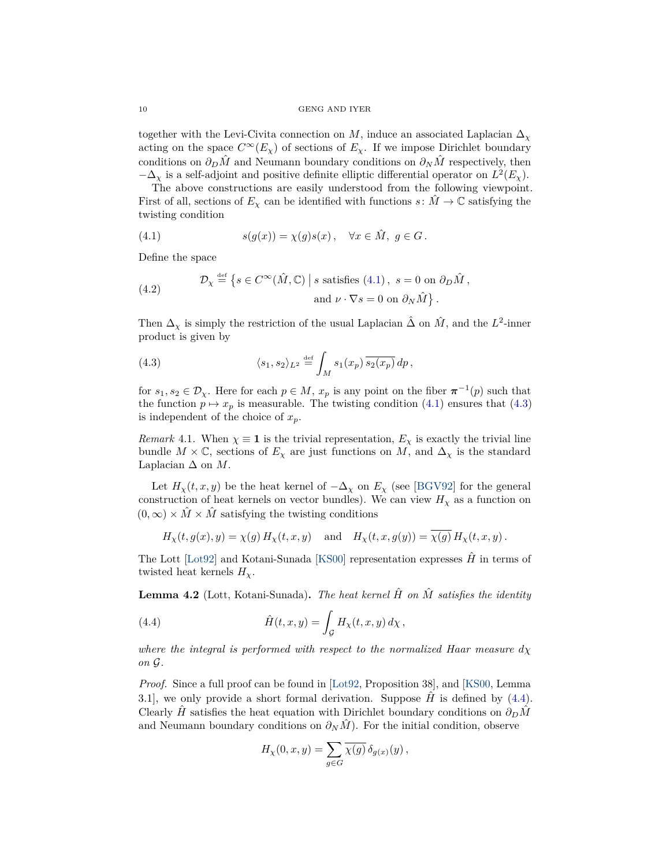10 GENG AND IYER

together with the Levi-Civita connection on *M*, induce an associated Laplacian  $\Delta_{\chi}$ acting on the space  $C^{\infty}(E_{\chi})$  of sections of  $E_{\chi}$ . If we impose Dirichlet boundary conditions on  $\partial_D \hat{M}$  and Neumann boundary conditions on  $\partial_N \hat{M}$  respectively, then  $-\Delta_{\chi}$  is a self-adjoint and positive definite elliptic differential operator on  $L^2(E_{\chi})$ .

The above constructions are easily understood from the following viewpoint. First of all, sections of  $E_\chi$  can be identified with functions  $s: \tilde{M} \to \mathbb{C}$  satisfying the twisting condition

<span id="page-9-0"></span>(4.1) 
$$
s(g(x)) = \chi(g)s(x), \quad \forall x \in \hat{M}, \ g \in G.
$$

Define the space

<span id="page-9-4"></span>(4.2) 
$$
\mathcal{D}_{\chi} \stackrel{\text{def}}{=} \left\{ s \in C^{\infty}(\hat{M}, \mathbb{C}) \mid s \text{ satisfies (4.1)}, s = 0 \text{ on } \partial_D \hat{M}, \right\}.
$$

$$
\text{and } \nu \cdot \nabla s = 0 \text{ on } \partial_N \hat{M} \right\}.
$$

Then  $\Delta_{\chi}$  is simply the restriction of the usual Laplacian  $\hat{\Delta}$  on  $\hat{M}$ , and the  $L^2$ -inner product is given by

<span id="page-9-1"></span>(4.3) 
$$
\langle s_1, s_2 \rangle_{L^2} \stackrel{\text{def}}{=} \int_M s_1(x_p) \overline{s_2(x_p)} \, dp,
$$

for  $s_1, s_2 \in \mathcal{D}_{\chi}$ . Here for each  $p \in M$ ,  $x_p$  is any point on the fiber  $\pi^{-1}(p)$  such that the function  $p \mapsto x_p$  is measurable. The twisting condition [\(4.1\)](#page-9-0) ensures that [\(4.3\)](#page-9-1) is independent of the choice of  $x_p$ .

*Remark* 4.1. When  $\chi \equiv 1$  is the trivial representation,  $E_{\chi}$  is exactly the trivial line bundle  $M \times \mathbb{C}$ , sections of  $E_\chi$  are just functions on  $M$ , and  $\Delta_\chi$  is the standard Laplacian  $\Delta$  on  $M$ .

Let  $H_\chi(t, x, y)$  be the heat kernel of  $-\Delta_\chi$  on  $E_\chi$  (see [\[BGV92\]](#page-28-6) for the general construction of heat kernels on vector bundles). We can view  $H<sub>\chi</sub>$  as a function on  $(0, \infty) \times \hat{M} \times \hat{M}$  satisfying the twisting conditions

$$
H_{\chi}(t, g(x), y) = \chi(g) H_{\chi}(t, x, y) \text{ and } H_{\chi}(t, x, g(y)) = \chi(g) H_{\chi}(t, x, y).
$$

The Lott [\[Lot92\]](#page-28-11) and Kotani-Sunada [\[KS00\]](#page-28-12) representation expresses  $\hat{H}$  in terms of twisted heat kernels  $H_{\chi}$ .

<span id="page-9-3"></span>**Lemma 4.2** (Lott, Kotani-Sunada). The heat kernel  $\hat{H}$  on  $\hat{M}$  satisfies the identity

<span id="page-9-2"></span>(4.4) 
$$
\hat{H}(t,x,y) = \int_{\mathcal{G}} H_{\chi}(t,x,y) d\chi,
$$

*where the integral is performed with respect to the normalized Haar measure*  $d\chi$ *on* G*.*

*Proof.* Since a full proof can be found in [\[Lot92,](#page-28-11) Proposition 38], and [\[KS00,](#page-28-12) Lemma 3.1], we only provide a short formal derivation. Suppose  $\hat{H}$  is defined by [\(4.4\)](#page-9-2). Clearly *H*<sup> $\tilde{H}$  satisfies the heat equation with Dirichlet boundary conditions on  $\partial_D \tilde{M}$ </sup> and Neumann boundary conditions on  $\partial_N \hat{M}$ . For the initial condition, observe

$$
H_{\chi}(0,x,y) = \sum_{g \in G} \overline{\chi(g)} \, \delta_{g(x)}(y) \,,
$$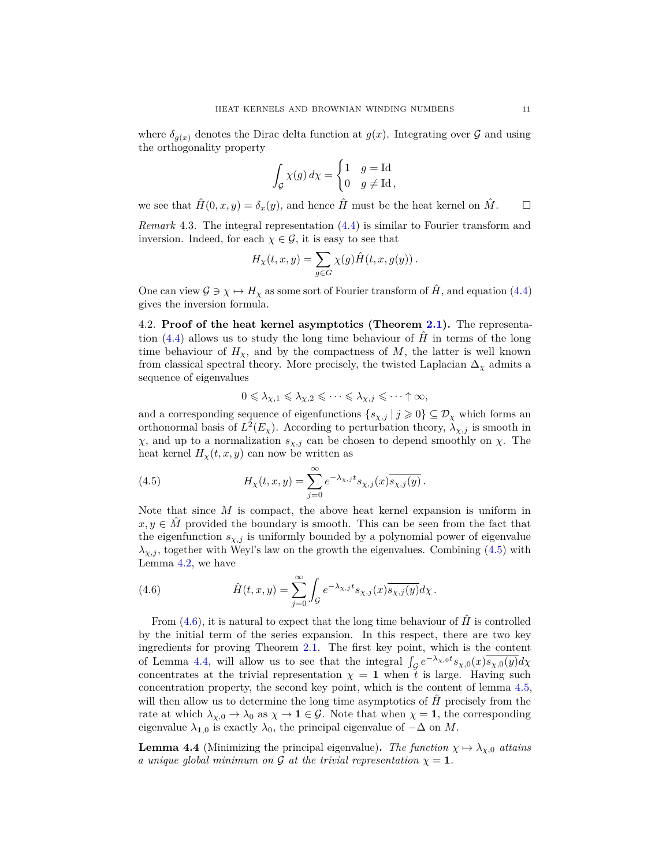where  $\delta_{g(x)}$  denotes the Dirac delta function at  $g(x)$ . Integrating over  $\mathcal G$  and using the orthogonality property

$$
\int_{\mathcal{G}} \chi(g) \, d\chi = \begin{cases} 1 & g = \text{Id} \\ 0 & g \neq \text{Id} \end{cases}
$$

we see that  $\hat{H}(0, x, y) = \delta_x(y)$ , and hence  $\hat{H}$  must be the heat kernel on  $\hat{M}$ .

*Remark* 4.3*.* The integral representation [\(4.4\)](#page-9-2) is similar to Fourier transform and inversion. Indeed, for each  $\chi \in \mathcal{G}$ , it is easy to see that

$$
H_{\chi}(t,x,y) = \sum_{g \in G} \chi(g) \hat{H}(t,x,g(y)).
$$

One can view  $\mathcal{G} \ni \chi \mapsto H_{\chi}$  as some sort of Fourier transform of  $H$ , and equation [\(4.4\)](#page-9-2) gives the inversion formula.

<span id="page-10-1"></span>4.2. **Proof of the heat kernel asymptotics (Theorem [2.1\)](#page-3-0).** The representa-tion [\(4.4\)](#page-9-2) allows us to study the long time behaviour of  $\hat{H}$  in terms of the long time behaviour of  $H<sub>x</sub>$ , and by the compactness of  $M$ , the latter is well known from classical spectral theory. More precisely, the twisted Laplacian  $\Delta_{\chi}$  admits a sequence of eigenvalues

<span id="page-10-2"></span>
$$
0 \leqslant \lambda_{\chi,1} \leqslant \lambda_{\chi,2} \leqslant \cdots \leqslant \lambda_{\chi,j} \leqslant \cdots \uparrow \infty,
$$

and a corresponding sequence of eigenfunctions  $\{s_{\chi,j} | j \geq 0\} \subseteq \mathcal{D}_{\chi}$  which forms an orthonormal basis of  $L^2(E_\chi)$ . According to perturbation theory,  $\lambda_{\chi,j}$  is smooth in *χ*, and up to a normalization *sχ,j* can be chosen to depend smoothly on *χ*. The heat kernel  $H_{\chi}(t, x, y)$  can now be written as

(4.5) 
$$
H_{\chi}(t,x,y) = \sum_{j=0}^{\infty} e^{-\lambda_{\chi,j}t} s_{\chi,j}(x) \overline{s_{\chi,j}(y)}.
$$

Note that since *M* is compact, the above heat kernel expansion is uniform in  $x, y \in \hat{M}$  provided the boundary is smooth. This can be seen from the fact that the eigenfunction  $s_{\chi,j}$  is uniformly bounded by a polynomial power of eigenvalue  $\lambda_{\chi,j}$ , together with Weyl's law on the growth the eigenvalues. Combining [\(4.5\)](#page-10-2) with Lemma [4.2,](#page-9-3) we have

<span id="page-10-3"></span>(4.6) 
$$
\hat{H}(t,x,y) = \sum_{j=0}^{\infty} \int_{\mathcal{G}} e^{-\lambda_{\chi,j}t} s_{\chi,j}(x) \overline{s_{\chi,j}(y)} d\chi.
$$

From  $(4.6)$ , it is natural to expect that the long time behaviour of  $\hat{H}$  is controlled by the initial term of the series expansion. In this respect, there are two key ingredients for proving Theorem [2.1.](#page-3-0) The first key point, which is the content of Lemma [4.4,](#page-10-0) will allow us to see that the integral  $\int_{\mathcal{G}} e^{-\lambda_{\chi,0}t} s_{\chi,0}(x) \overline{s_{\chi,0}(y)} d\chi$ concentrates at the trivial representation  $\chi = 1$  when t is large. Having such concentration property, the second key point, which is the content of lemma [4.5,](#page-11-0) will then allow us to determine the long time asymptotics of  $\hat{H}$  precisely from the rate at which  $\lambda_{\chi,0} \to \lambda_0$  as  $\chi \to \mathbf{1} \in \mathcal{G}$ . Note that when  $\chi = \mathbf{1}$ , the corresponding eigenvalue  $\lambda_{1,0}$  is exactly  $\lambda_0$ , the principal eigenvalue of  $-\Delta$  on *M*.

<span id="page-10-0"></span>**Lemma 4.4** (Minimizing the principal eigenvalue). The function  $\chi \mapsto \lambda_{\chi,0}$  attains *a unique global minimum on* G *at the trivial representation*  $\chi = 1$ *.*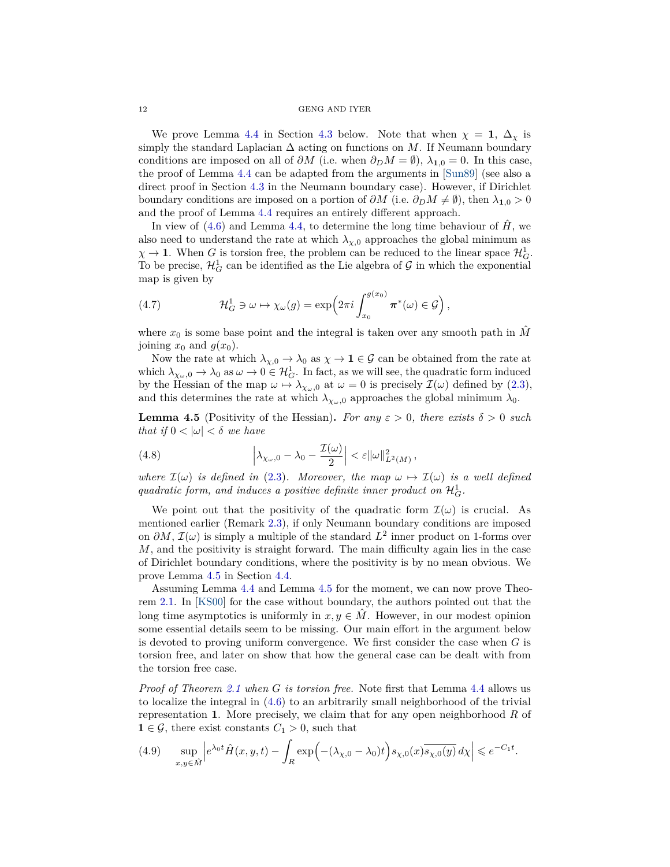#### 12 GENG AND IYER

We prove Lemma [4.4](#page-10-0) in Section [4.3](#page-16-0) below. Note that when  $\chi = 1, \Delta_{\chi}$  is simply the standard Laplacian  $\Delta$  acting on functions on *M*. If Neumann boundary conditions are imposed on all of  $\partial M$  (i.e. when  $\partial_D M = \emptyset$ ),  $\lambda_{1,0} = 0$ . In this case, the proof of Lemma [4.4](#page-10-0) can be adapted from the arguments in [\[Sun89\]](#page-29-5) (see also a direct proof in Section [4.3](#page-16-0) in the Neumann boundary case). However, if Dirichlet boundary conditions are imposed on a portion of  $\partial M$  (i.e.  $\partial_D M \neq \emptyset$ ), then  $\lambda_{1,0} > 0$ and the proof of Lemma [4.4](#page-10-0) requires an entirely different approach.

In view of  $(4.6)$  and Lemma [4.4,](#page-10-0) to determine the long time behaviour of  $\hat{H}$ , we also need to understand the rate at which  $\lambda_{\chi,0}$  approaches the global minimum as  $\chi \to \mathbf{1}$ . When *G* is torsion free, the problem can be reduced to the linear space  $\mathcal{H}_G^1$ . To be precise,  $\mathcal{H}_G^1$  can be identified as the Lie algebra of  $\mathcal G$  in which the exponential map is given by

<span id="page-11-2"></span>(4.7) 
$$
\mathcal{H}_G^1 \ni \omega \mapsto \chi_{\omega}(g) = \exp\left(2\pi i \int_{x_0}^{g(x_0)} \pi^*(\omega) \in \mathcal{G}\right),
$$

where  $x_0$  is some base point and the integral is taken over any smooth path in  $\hat{M}$ joining  $x_0$  and  $g(x_0)$ .

Now the rate at which  $\lambda_{\chi,0} \to \lambda_0$  as  $\chi \to 1 \in \mathcal{G}$  can be obtained from the rate at which  $\lambda_{\chi_{\omega},0} \to \lambda_0$  as  $\omega \to 0 \in \mathcal{H}_G^1$ . In fact, as we will see, the quadratic form induced by the Hessian of the map  $\omega \mapsto \lambda_{\chi_{\omega},0}$  at  $\omega = 0$  is precisely  $\mathcal{I}(\omega)$  defined by [\(2.3\)](#page-3-4), and this determines the rate at which  $\lambda_{\chi_{\omega},0}$  approaches the global minimum  $\lambda_0$ .

<span id="page-11-0"></span>**Lemma 4.5** (Positivity of the Hessian). *For any*  $\varepsilon > 0$ *, there exists*  $\delta > 0$  *such that if*  $0 < |\omega| < \delta$  *we have* 

<span id="page-11-3"></span>(4.8) 
$$
\left|\lambda_{\chi_{\omega},0} - \lambda_0 - \frac{\mathcal{I}(\omega)}{2}\right| < \varepsilon \|\omega\|_{L^2(M)}^2,
$$

*where*  $\mathcal{I}(\omega)$  *is defined in* [\(2.3\)](#page-3-4)*. Moreover, the map*  $\omega \mapsto \mathcal{I}(\omega)$  *is a well defined* quadratic form, and induces a positive definite inner product on  $\mathcal{H}_G^1$ .

We point out that the positivity of the quadratic form  $\mathcal{I}(\omega)$  is crucial. As mentioned earlier (Remark [2.3\)](#page-4-2), if only Neumann boundary conditions are imposed on  $\partial M$ ,  $\mathcal{I}(\omega)$  is simply a multiple of the standard  $L^2$  inner product on 1-forms over *M*, and the positivity is straight forward. The main difficulty again lies in the case of Dirichlet boundary conditions, where the positivity is by no mean obvious. We prove Lemma [4.5](#page-11-0) in Section [4.4.](#page-20-0)

Assuming Lemma [4.4](#page-10-0) and Lemma [4.5](#page-11-0) for the moment, we can now prove Theorem [2.1.](#page-3-0) In [\[KS00\]](#page-28-12) for the case without boundary, the authors pointed out that the long time asymptotics is uniformly in  $x, y \in \hat{M}$ . However, in our modest opinion some essential details seem to be missing. Our main effort in the argument below is devoted to proving uniform convergence. We first consider the case when *G* is torsion free, and later on show that how the general case can be dealt with from the torsion free case.

*Proof of Theorem [2.1](#page-3-0) when G is torsion free.* Note first that Lemma [4.4](#page-10-0) allows us to localize the integral in [\(4.6\)](#page-10-3) to an arbitrarily small neighborhood of the trivial representation **1**. More precisely, we claim that for any open neighborhood *R* of **1** ∈  $\mathcal{G}$ , there exist constants  $C_1$  > 0, such that

<span id="page-11-1"></span>
$$
(4.9) \quad \sup_{x,y\in\hat{M}} \left| e^{\lambda_0 t} \hat{H}(x,y,t) - \int_R \exp\left(-(\lambda_{\chi,0} - \lambda_0)t\right) s_{\chi,0}(x) \overline{s_{\chi,0}(y)} \, dx \right| \leqslant e^{-C_1 t}.
$$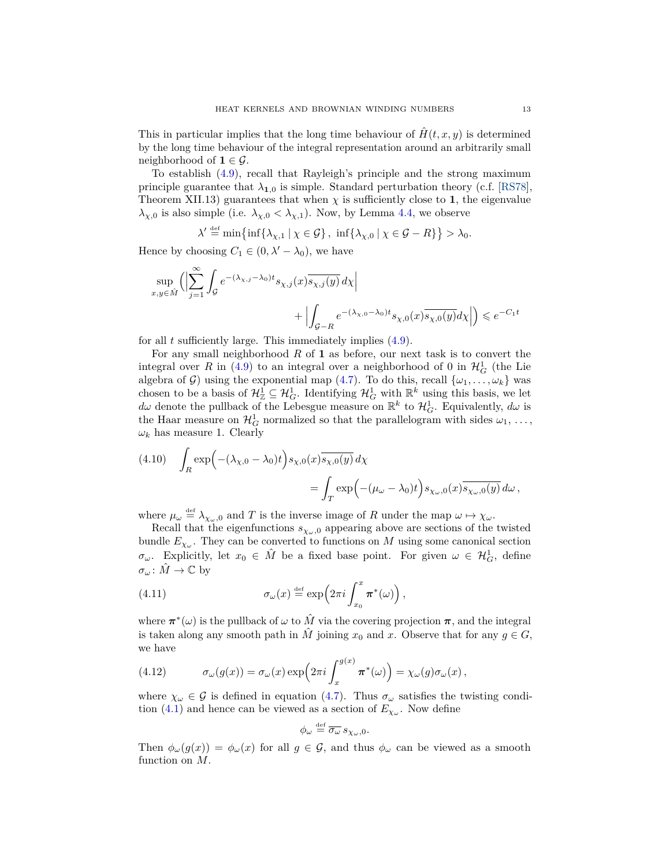This in particular implies that the long time behaviour of  $H(t, x, y)$  is determined by the long time behaviour of the integral representation around an arbitrarily small neighborhood of  $\mathbf{1} \in \mathcal{G}$ .

To establish [\(4.9\)](#page-11-1), recall that Rayleigh's principle and the strong maximum principle guarantee that  $\lambda_{1,0}$  is simple. Standard perturbation theory (c.f. [\[RS78\]](#page-29-6), Theorem XII.13) guarantees that when  $\chi$  is sufficiently close to 1, the eigenvalue *λ*<sub>*χ*,0</sub> is also simple (i.e.  $λ_{χ,0} < λ_{χ,1}$ ). Now, by Lemma [4.4,](#page-10-0) we observe

$$
\lambda' \stackrel{\text{def}}{=} \min \{ \inf \{ \lambda_{\chi,1} \mid \chi \in \mathcal{G} \}, \ \inf \{ \lambda_{\chi,0} \mid \chi \in \mathcal{G} - R \} \} > \lambda_0.
$$

Hence by choosing  $C_1 \in (0, \lambda' - \lambda_0)$ , we have

$$
\begin{split} \sup_{x,y\in \hat{M}} \Big(\Bigl|\sum_{j=1}^{\infty}\int_{\mathcal{G}}e^{-(\lambda_{\chi,j}-\lambda_0)t}s_{\chi,j}(x)\overline{s_{\chi,j}(y)}\,d\chi\Bigr| \\qquad \qquad +\Bigl|\int_{\mathcal{G}-R}e^{-(\lambda_{\chi,0}-\lambda_0)t}s_{\chi,0}(x)\overline{s_{\chi,0}(y)}d\chi\Bigr|\Bigr)\leqslant e^{-C_1 t} \end{split}
$$

for all *t* sufficiently large. This immediately implies [\(4.9\)](#page-11-1).

For any small neighborhood *R* of **1** as before, our next task is to convert the integral over *R* in [\(4.9\)](#page-11-1) to an integral over a neighborhood of 0 in  $\mathcal{H}^1_G$  (the Lie algebra of G) using the exponential map [\(4.7\)](#page-11-2). To do this, recall  $\{\omega_1, \ldots, \omega_k\}$  was chosen to be a basis of  $\mathcal{H}^1_{\mathbb{Z}} \subseteq \mathcal{H}^1_G$ . Identifying  $\mathcal{H}^1_G$  with  $\mathbb{R}^k$  using this basis, we let  $d\omega$  denote the pullback of the Lebesgue measure on  $\mathbb{R}^k$  to  $\mathcal{H}_G^1$ . Equivalently,  $d\omega$  is the Haar measure on  $\mathcal{H}_G^1$  normalized so that the parallelogram with sides  $\omega_1, \ldots,$  $\omega_k$  has measure 1. Clearly

<span id="page-12-0"></span>(4.10) 
$$
\int_{R} \exp\left(-(\lambda_{\chi,0} - \lambda_{0})t\right) s_{\chi,0}(x) \overline{s_{\chi,0}(y)} d\chi
$$

$$
= \int_{T} \exp\left(-(\mu_{\omega} - \lambda_{0})t\right) s_{\chi_{\omega},0}(x) \overline{s_{\chi_{\omega},0}(y)} d\omega,
$$

where  $\mu_{\omega} \stackrel{\text{def}}{=} \lambda_{\chi_{\omega},0}$  and *T* is the inverse image of *R* under the map  $\omega \mapsto \chi_{\omega}$ .

Recall that the eigenfunctions  $s_{\chi_{\omega},0}$  appearing above are sections of the twisted bundle  $E_{\chi_{\omega}}$ . They can be converted to functions on *M* using some canonical section *σ*<sub>*ω*</sub>. Explicitly, let  $x_0 \in \hat{M}$  be a fixed base point. For given  $\omega \in \mathcal{H}_G^1$ , define  $\sigma_{\omega} \colon \tilde{M} \to \mathbb{C}$  by

(4.11) 
$$
\sigma_{\omega}(x) \stackrel{\text{def}}{=} \exp\left(2\pi i \int_{x_0}^x \pi^*(\omega)\right),
$$

where  $\pi^*(\omega)$  is the pullback of  $\omega$  to  $\hat{M}$  via the covering projection  $\pi$ , and the integral is taken along any smooth path in  $\hat{M}$  joining  $x_0$  and  $x$ . Observe that for any  $g \in G$ , we have

<span id="page-12-1"></span>(4.12) 
$$
\sigma_{\omega}(g(x)) = \sigma_{\omega}(x) \exp\left(2\pi i \int_x^{g(x)} \pi^*(\omega)\right) = \chi_{\omega}(g)\sigma_{\omega}(x),
$$

where  $\chi_{\omega} \in \mathcal{G}$  is defined in equation [\(4.7\)](#page-11-2). Thus  $\sigma_{\omega}$  satisfies the twisting condi-tion [\(4.1\)](#page-9-0) and hence can be viewed as a section of  $E_{\chi_{\omega}}$ . Now define

$$
\phi_\omega\stackrel{\scriptscriptstyle\rm def}{=} \overline{\sigma_\omega}\, s_{\chi_\omega,0}.
$$

Then  $\phi_\omega(g(x)) = \phi_\omega(x)$  for all  $g \in \mathcal{G}$ , and thus  $\phi_\omega$  can be viewed as a smooth function on *M*.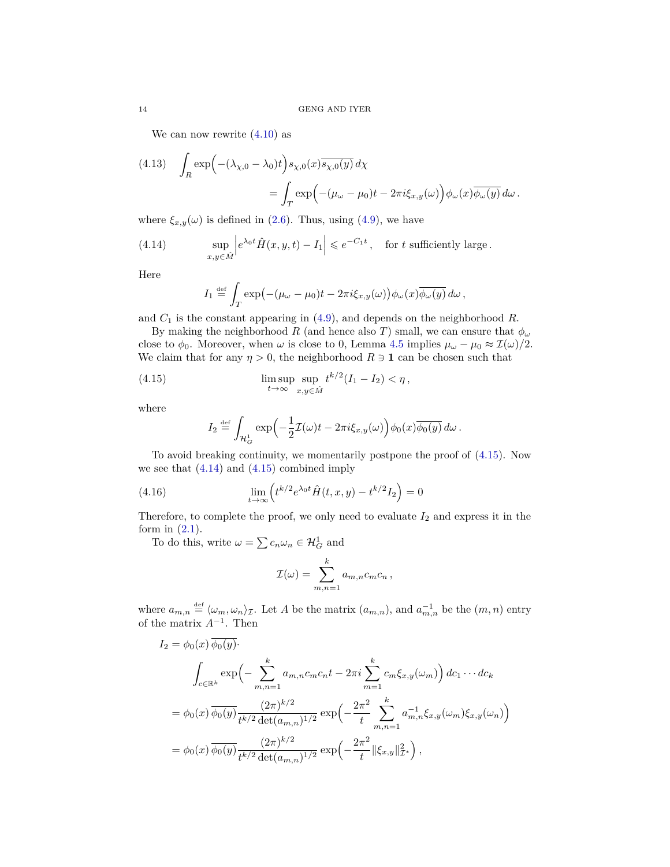We can now rewrite  $(4.10)$  as

(4.13) 
$$
\int_{R} \exp\left(-(\lambda_{\chi,0} - \lambda_{0})t\right) s_{\chi,0}(x) \overline{s_{\chi,0}(y)} dx
$$

$$
= \int_{T} \exp\left(-(\mu_{\omega} - \mu_{0})t - 2\pi i \xi_{x,y}(\omega)\right) \phi_{\omega}(x) \overline{\phi_{\omega}(y)} d\omega.
$$

where  $\xi_{x,y}(\omega)$  is defined in [\(2.6\)](#page-4-3). Thus, using [\(4.9\)](#page-11-1), we have

(4.14) 
$$
\sup_{x,y\in\hat{M}} \left| e^{\lambda_0 t} \hat{H}(x,y,t) - I_1 \right| \leq e^{-C_1 t}, \text{ for } t \text{ sufficiently large.}
$$

Here

<span id="page-13-1"></span>
$$
I_1 \stackrel{\text{def}}{=} \int_T \exp\bigl(-(\mu_\omega - \mu_0)t - 2\pi i \xi_{x,y}(\omega)\bigr) \phi_\omega(x) \overline{\phi_\omega(y)} \, d\omega \,,
$$

and *C*<sup>1</sup> is the constant appearing in [\(4.9\)](#page-11-1), and depends on the neighborhood *R*.

By making the neighborhood *R* (and hence also *T*) small, we can ensure that  $\phi_{\omega}$ close to  $\phi_0$ . Moreover, when  $\omega$  is close to 0, Lemma [4.5](#page-11-0) implies  $\mu_\omega - \mu_0 \approx \mathcal{I}(\omega)/2$ . We claim that for any  $\eta > 0$ , the neighborhood  $R \ni 1$  can be chosen such that

(4.15) 
$$
\limsup_{t \to \infty} \sup_{x,y \in \hat{M}} t^{k/2} (I_1 - I_2) < \eta,
$$

where

<span id="page-13-2"></span><span id="page-13-0"></span>
$$
I_2 \stackrel{\text{def}}{=} \int_{\mathcal{H}_G^1} \exp\left(-\frac{1}{2}\mathcal{I}(\omega)t - 2\pi i \xi_{x,y}(\omega)\right) \phi_0(x) \overline{\phi_0(y)} \, d\omega \, .
$$

To avoid breaking continuity, we momentarily postpone the proof of [\(4.15\)](#page-13-0). Now we see that  $(4.14)$  and  $(4.15)$  combined imply

(4.16) 
$$
\lim_{t \to \infty} \left( t^{k/2} e^{\lambda_0 t} \hat{H}(t, x, y) - t^{k/2} I_2 \right) = 0
$$

Therefore, to complete the proof, we only need to evaluate  $I_2$  and express it in the form in  $(2.1)$ .

To do this, write  $\omega = \sum c_n \omega_n \in \mathcal{H}_G^1$  and

$$
\mathcal{I}(\omega) = \sum_{m,n=1}^{k} a_{m,n} c_m c_n,
$$

where  $a_{m,n} \stackrel{\text{def}}{=} \langle \omega_m, \omega_n \rangle_{\mathcal{I}}$ . Let A be the matrix  $(a_{m,n})$ , and  $a_{m,n}^{-1}$  be the  $(m, n)$  entry of the matrix *A*<sup>−</sup><sup>1</sup> . Then

$$
I_2 = \phi_0(x) \phi_0(y).
$$
  

$$
\int_{c \in \mathbb{R}^k} \exp\left(-\sum_{m,n=1}^k a_{m,n}c_m c_n t - 2\pi i \sum_{m=1}^k c_m \xi_{x,y}(\omega_m)\right) d c_1 \cdots d c_k
$$
  

$$
= \phi_0(x) \overline{\phi_0(y)} \frac{(2\pi)^{k/2}}{t^{k/2} \det(a_{m,n})^{1/2}} \exp\left(-\frac{2\pi^2}{t} \sum_{m,n=1}^k a_{m,n}^{-1} \xi_{x,y}(\omega_m) \xi_{x,y}(\omega_n)\right)
$$
  

$$
= \phi_0(x) \overline{\phi_0(y)} \frac{(2\pi)^{k/2}}{t^{k/2} \det(a_{m,n})^{1/2}} \exp\left(-\frac{2\pi^2}{t} ||\xi_{x,y}||_{\mathcal{I}^*}^2\right),
$$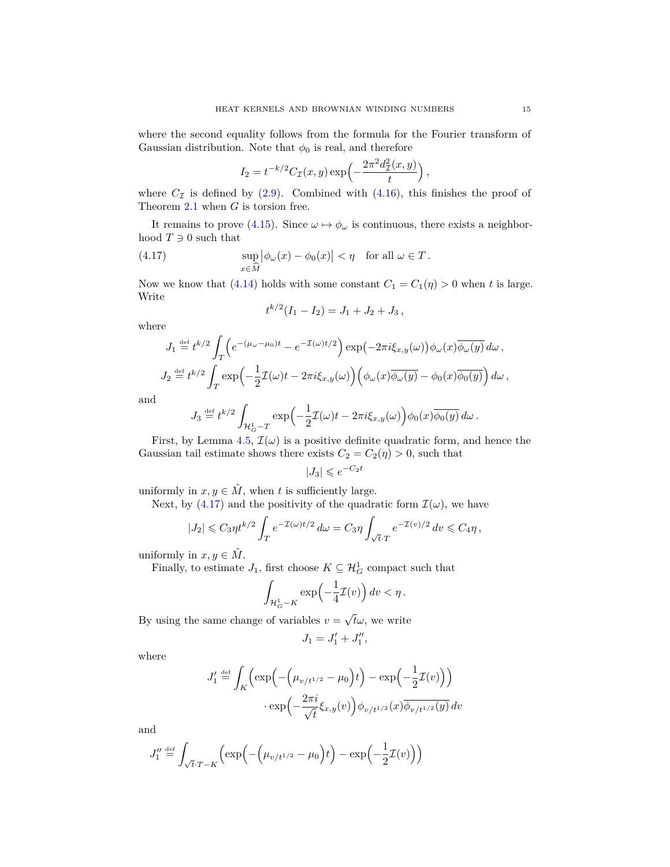where the second equality follows from the formula for the Fourier transform of Gaussian distribution. Note that  $\phi_0$  is real, and therefore

$$
I_2 = t^{-k/2} C_{\mathcal{I}}(x, y) \exp\left(-\frac{2\pi^2 d_{\mathcal{I}}^2(x, y)}{t}\right),
$$

where  $C_{\mathcal{I}}$  is defined by [\(2.9\)](#page-4-1). Combined with [\(4.16\)](#page-13-2), this finishes the proof of Theorem [2.1](#page-3-0) when *G* is torsion free.

It remains to prove [\(4.15\)](#page-13-0). Since  $\omega \mapsto \phi_{\omega}$  is continuous, there exists a neighborhood  $T \ni 0$  such that

(4.17) 
$$
\sup_{x \in \widehat{M}} |\phi_{\omega}(x) - \phi_0(x)| < \eta \quad \text{for all } \omega \in T.
$$

Now we know that [\(4.14\)](#page-13-1) holds with some constant  $C_1 = C_1(\eta) > 0$  when *t* is large. Write

<span id="page-14-0"></span>
$$
t^{k/2}(I_1-I_2)=J_1+J_2+J_3,
$$

where

$$
J_1 \stackrel{\text{def}}{=} t^{k/2} \int_T \left( e^{-(\mu_\omega - \mu_0)t} - e^{-\mathcal{I}(\omega)t/2} \right) \exp\left( -2\pi i \xi_{x,y}(\omega) \right) \phi_\omega(x) \overline{\phi_\omega(y)} \, d\omega \,,
$$
  

$$
J_2 \stackrel{\text{def}}{=} t^{k/2} \int_T \exp\left( -\frac{1}{2} \mathcal{I}(\omega)t - 2\pi i \xi_{x,y}(\omega) \right) \left( \phi_\omega(x) \overline{\phi_\omega(y)} - \phi_0(x) \overline{\phi_0(y)} \right) d\omega \,,
$$

and

$$
J_3 \stackrel{\text{def}}{=} t^{k/2} \int_{\mathcal{H}^1_G - T} \exp\left(-\frac{1}{2}\mathcal{I}(\omega)t - 2\pi i \xi_{x,y}(\omega)\right) \phi_0(x) \overline{\phi_0(y)} \, d\omega \, .
$$

First, by Lemma [4.5,](#page-11-0)  $\mathcal{I}(\omega)$  is a positive definite quadratic form, and hence the Gaussian tail estimate shows there exists  $C_2 = C_2(\eta) > 0$ , such that

$$
|J_3| \leqslant e^{-C_2 t}
$$

uniformly in  $x, y \in \hat{M}$ , when *t* is sufficiently large.

Next, by [\(4.17\)](#page-14-0) and the positivity of the quadratic form  $\mathcal{I}(\omega)$ , we have

$$
|J_2| \leqslant C_3 \eta t^{k/2} \int_T e^{-\mathcal{I}(\omega)t/2} \, d\omega = C_3 \eta \int_{\sqrt{t} \cdot T} e^{-\mathcal{I}(v)/2} \, dv \leqslant C_4 \eta \,,
$$

uniformly in  $x, y \in \hat{M}$ .

Finally, to estimate  $J_1$ , first choose  $K \subseteq \mathcal{H}^1_G$  compact such that

$$
\int_{\mathcal{H}_G^1 - K} \exp\left(-\frac{1}{4}\mathcal{I}(v)\right) dv < \eta.
$$

By using the same change of variables  $v =$ *tω*, we write

$$
J_1 = J_1' + J_1'',
$$

where

$$
J_1' \stackrel{\text{def}}{=} \int_K \left( \exp\left(-\left(\mu_{v/t^{1/2}} - \mu_0\right)t\right) - \exp\left(-\frac{1}{2}\mathcal{I}(v)\right) \right)
$$

$$
\cdot \exp\left(-\frac{2\pi i}{\sqrt{t}}\xi_{x,y}(v)\right) \phi_{v/t^{1/2}}(x) \overline{\phi_{v/t^{1/2}}(y)} dv
$$

and

$$
J_1^{\prime\prime} \stackrel{\text{def}}{=} \int_{\sqrt{t} \cdot T - K} \left( \exp\left(-\left(\mu_{v/t^{1/2}} - \mu_0\right)t\right) - \exp\left(-\frac{1}{2}\mathcal{I}(v)\right) \right)
$$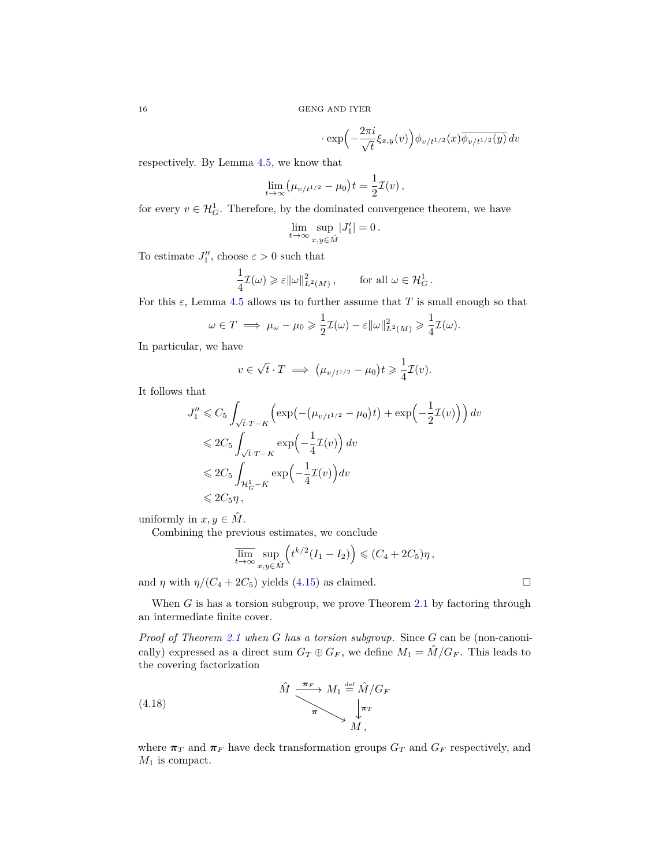$$
\cdot \exp\left(-\frac{2\pi i}{\sqrt{t}}\xi_{x,y}(v)\right)\phi_{v/t^{1/2}}(x)\overline{\phi_{v/t^{1/2}}(y)}\,dv
$$

respectively. By Lemma [4.5,](#page-11-0) we know that

$$
\lim_{t \to \infty} (\mu_{v/t^{1/2}} - \mu_0) t = \frac{1}{2} \mathcal{I}(v) ,
$$

for every  $v \in \mathcal{H}_G^1$ . Therefore, by the dominated convergence theorem, we have

$$
\lim_{t\to\infty}\sup_{x,y\in\hat{M}}|J_1'|=0\,.
$$

To estimate  $J_1''$ , choose  $\varepsilon > 0$  such that

$$
\frac{1}{4}\mathcal{I}(\omega) \geqslant \varepsilon ||\omega||_{L^2(M)}^2, \qquad \text{for all } \omega \in \mathcal{H}_G^1.
$$

For this  $\varepsilon$ , Lemma [4.5](#page-11-0) allows us to further assume that *T* is small enough so that

$$
\omega \in T \implies \mu_\omega - \mu_0 \geq \frac{1}{2} \mathcal{I}(\omega) - \varepsilon ||\omega||^2_{L^2(M)} \geq \frac{1}{4} \mathcal{I}(\omega).
$$

In particular, we have

$$
v\in \sqrt{t}\cdot T\implies \big(\mu_{v/t^{1/2}}-\mu_0\big)t\geqslant \frac{1}{4}\mathcal{I}(v).
$$

It follows that

$$
J_1'' \leq C_5 \int_{\sqrt{t} \cdot T - K} \left( \exp\left(-\left(\mu_{v/t^{1/2}} - \mu_0\right)t\right) + \exp\left(-\frac{1}{2}\mathcal{I}(v)\right) \right) dv
$$
  
\n
$$
\leq 2C_5 \int_{\sqrt{t} \cdot T - K} \exp\left(-\frac{1}{4}\mathcal{I}(v)\right) dv
$$
  
\n
$$
\leq 2C_5 \int_{\mathcal{H}^1_G - K} \exp\left(-\frac{1}{4}\mathcal{I}(v)\right) dv
$$
  
\n
$$
\leq 2C_5 \eta,
$$

uniformly in  $x, y \in \hat{M}$ .

Combining the previous estimates, we conclude

$$
\overline{\lim_{t\to\infty}}\sup_{x,y\in\hat{M}}\left(t^{k/2}(I_1-I_2)\right)\leqslant (C_4+2C_5)\eta\,,
$$

and *η* with  $\eta/(C_4 + 2C_5)$  yields [\(4.15\)](#page-13-0) as claimed.

When *G* is has a torsion subgroup, we prove Theorem [2.1](#page-3-0) by factoring through an intermediate finite cover.

*Proof of Theorem [2.1](#page-3-0) when G has a torsion subgroup.* Since *G* can be (non-canonically) expressed as a direct sum  $G_T \oplus G_F$ , we define  $M_1 = \hat{M}/G_F$ . This leads to the covering factorization

<span id="page-15-0"></span>(4.18) 
$$
\hat{M} \xrightarrow{\pi_F} M_1 \stackrel{\text{def}}{=} \hat{M}/G_F
$$

$$
\pi \searrow \downarrow^{\pi_T} M,
$$

$$
M,
$$

where  $\pi_T$  and  $\pi_F$  have deck transformation groups  $G_T$  and  $G_F$  respectively, and *M*<sup>1</sup> is compact.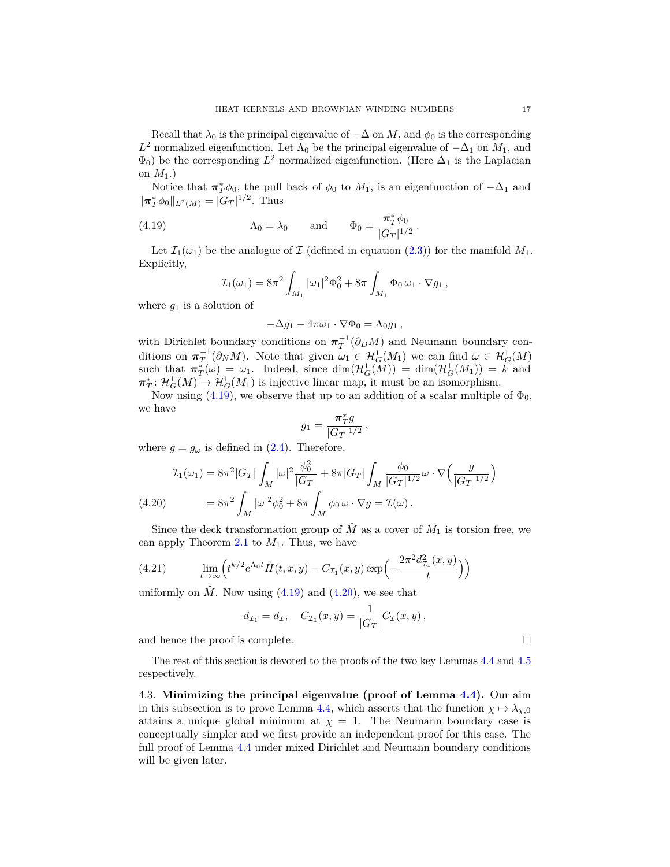Recall that  $\lambda_0$  is the principal eigenvalue of  $-\Delta$  on *M*, and  $\phi_0$  is the corresponding *L*<sup>2</sup> normalized eigenfunction. Let  $Λ$ <sub>0</sub> be the principal eigenvalue of  $-Δ$ <sub>1</sub> on  $M$ <sub>1</sub>, and  $\Phi_0$ ) be the corresponding  $L^2$  normalized eigenfunction. (Here  $\Delta_1$  is the Laplacian on  $M_1$ .)

Notice that  $\pi^*_{T}\phi_0$ , the pull back of  $\phi_0$  to  $M_1$ , is an eigenfunction of  $-\Delta_1$  and  $\|\pi_T^* \phi_0\|_{L^2(M)} = |G_T|^{1/2}$ . Thus

(4.19) 
$$
\Lambda_0 = \lambda_0 \quad \text{and} \quad \Phi_0 = \frac{\pi_T^* \phi_0}{|G_T|^{1/2}}.
$$

Let  $\mathcal{I}_1(\omega_1)$  be the analogue of  $\mathcal I$  (defined in equation [\(2.3\)](#page-3-4)) for the manifold  $M_1$ . Explicitly,

<span id="page-16-1"></span>
$$
\mathcal{I}_1(\omega_1) = 8\pi^2 \int_{M_1} |\omega_1|^2 \Phi_0^2 + 8\pi \int_{M_1} \Phi_0 \, \omega_1 \cdot \nabla g_1 ,
$$

where  $g_1$  is a solution of

$$
-\Delta g_1 - 4\pi \omega_1 \cdot \nabla \Phi_0 = \Lambda_0 g_1 ,
$$

with Dirichlet boundary conditions on  $\pi_T^{-1}(\partial_D M)$  and Neumann boundary conditions on  $\pi_T^{-1}(\partial_N M)$ . Note that given  $\omega_1 \in \mathcal{H}_G^1(M_1)$  we can find  $\omega \in \mathcal{H}_G^1(M)$ such that  $\pi_T^*(\omega) = \omega_1$ . Indeed, since  $\dim(\mathcal{H}_G^1(M)) = \dim(\mathcal{H}_G^1(M_1)) = k$  and  $\pi_T^*: \mathcal{H}_G^1(M) \to \mathcal{H}_G^1(M_1)$  is injective linear map, it must be an isomorphism.

Now using [\(4.19\)](#page-16-1), we observe that up to an addition of a scalar multiple of  $\Phi_0$ , we have

$$
g_1 = \frac{\pi_T^* g}{|G_T|^{1/2}}
$$

*,*

where  $g = g_{\omega}$  is defined in [\(2.4\)](#page-3-3). Therefore,

<span id="page-16-2"></span>
$$
\mathcal{I}_1(\omega_1) = 8\pi^2 |G_T| \int_M |\omega|^2 \frac{\phi_0^2}{|G_T|} + 8\pi |G_T| \int_M \frac{\phi_0}{|G_T|^{1/2}} \omega \cdot \nabla \left(\frac{g}{|G_T|^{1/2}}\right)
$$
\n
$$
(4.20) \qquad \qquad = 8\pi^2 \int_M |\omega|^2 \phi_0^2 + 8\pi \int_M \phi_0 \,\omega \cdot \nabla g = \mathcal{I}(\omega) \,.
$$

Since the deck transformation group of  $\hat{M}$  as a cover of  $M_1$  is torsion free, we can apply Theorem [2.1](#page-3-0) to  $M_1$ . Thus, we have

(4.21) 
$$
\lim_{t \to \infty} \left( t^{k/2} e^{\Lambda_0 t} \hat{H}(t, x, y) - C_{\mathcal{I}_1}(x, y) \exp\left( -\frac{2\pi^2 d_{\mathcal{I}_1}^2(x, y)}{t} \right) \right)
$$

uniformly on  $\hat{M}$ . Now using [\(4.19\)](#page-16-1) and [\(4.20\)](#page-16-2), we see that

$$
d_{\mathcal{I}_1} = d_{\mathcal{I}}, \quad C_{\mathcal{I}_1}(x, y) = \frac{1}{|G_T|} C_{\mathcal{I}}(x, y),
$$

and hence the proof is complete.

The rest of this section is devoted to the proofs of the two key Lemmas [4.4](#page-10-0) and [4.5](#page-11-0) respectively.

<span id="page-16-0"></span>4.3. **Minimizing the principal eigenvalue (proof of Lemma [4.4\)](#page-10-0).** Our aim in this subsection is to prove Lemma [4.4,](#page-10-0) which asserts that the function  $\chi \mapsto \lambda_{\chi,0}$ attains a unique global minimum at  $\chi = 1$ . The Neumann boundary case is conceptually simpler and we first provide an independent proof for this case. The full proof of Lemma [4.4](#page-10-0) under mixed Dirichlet and Neumann boundary conditions will be given later.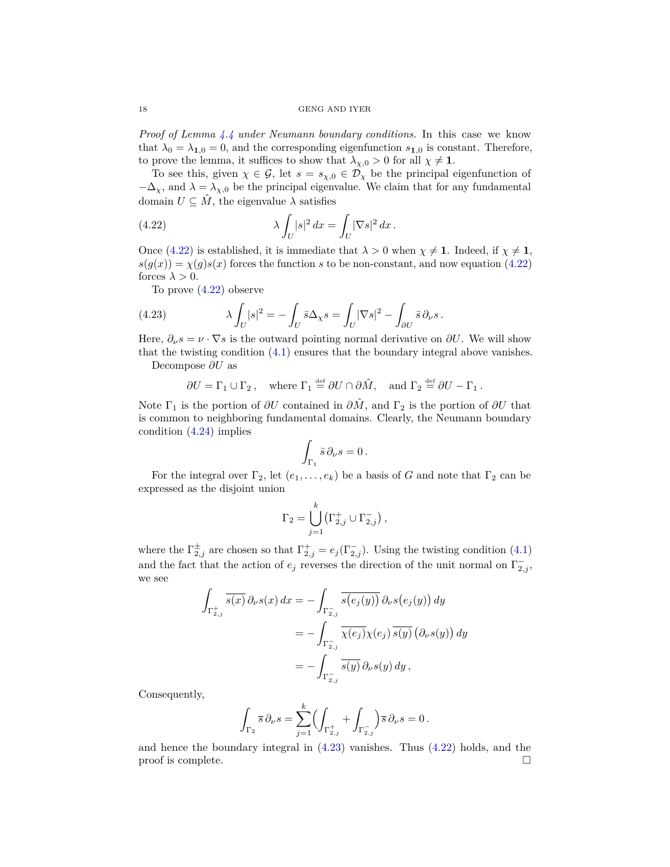*Proof of Lemma [4.4](#page-10-0) under Neumann boundary conditions.* In this case we know that  $\lambda_0 = \lambda_{1,0} = 0$ , and the corresponding eigenfunction  $s_{1,0}$  is constant. Therefore, to prove the lemma, it suffices to show that  $\lambda_{\chi,0} > 0$  for all  $\chi \neq 1$ .

To see this, given  $\chi \in \mathcal{G}$ , let  $s = s_{\chi,0} \in \mathcal{D}_{\chi}$  be the principal eigenfunction of  $-\Delta_{\chi}$ , and  $\lambda = \lambda_{\chi,0}$  be the principal eigenvalue. We claim that for any fundamental domain  $U \subseteq \hat{M}$ , the eigenvalue  $\lambda$  satisfies

<span id="page-17-0"></span>(4.22) 
$$
\lambda \int_U |s|^2 dx = \int_U |\nabla s|^2 dx.
$$

Once [\(4.22\)](#page-17-0) is established, it is immediate that  $\lambda > 0$  when  $\chi \neq 1$ . Indeed, if  $\chi \neq 1$ ,  $s(g(x)) = \chi(g)s(x)$  forces the function *s* to be non-constant, and now equation [\(4.22\)](#page-17-0) forces  $\lambda > 0$ .

<span id="page-17-1"></span>To prove [\(4.22\)](#page-17-0) observe

(4.23) 
$$
\lambda \int_U |s|^2 = -\int_U \bar{s} \Delta_\chi s = \int_U |\nabla s|^2 - \int_{\partial U} \bar{s} \partial_\nu s.
$$

Here,  $\partial_{\nu} s = \nu \cdot \nabla s$  is the outward pointing normal derivative on  $\partial U$ . We will show that the twisting condition [\(4.1\)](#page-9-0) ensures that the boundary integral above vanishes.

Decompose *∂U* as

$$
\partial U = \Gamma_1 \cup \Gamma_2
$$
, where  $\Gamma_1 \stackrel{\text{def}}{=} \partial U \cap \partial \hat{M}$ , and  $\Gamma_2 \stackrel{\text{def}}{=} \partial U - \Gamma_1$ .

Note  $\Gamma_1$  is the portion of  $\partial U$  contained in  $\partial \hat{M}$ , and  $\Gamma_2$  is the portion of  $\partial U$  that is common to neighboring fundamental domains. Clearly, the Neumann boundary condition [\(4.24\)](#page-18-0) implies

$$
\int_{\Gamma_1} \bar{s} \, \partial_{\nu} s = 0 \, .
$$

For the integral over  $\Gamma_2$ , let  $(e_1, \ldots, e_k)$  be a basis of *G* and note that  $\Gamma_2$  can be expressed as the disjoint union

$$
\Gamma_2 = \bigcup_{j=1}^k \left( \Gamma_{2,j}^+ \cup \Gamma_{2,j}^- \right),
$$

where the  $\Gamma_{2,j}^{\pm}$  are chosen so that  $\Gamma_{2,j}^{+} = e_j(\Gamma_{2,j}^{-})$ . Using the twisting condition [\(4.1\)](#page-9-0) and the fact that the action of  $e_j$  reverses the direction of the unit normal on  $\Gamma_{2,j}^-$ , we see

$$
\int_{\Gamma_{2,j}^+} \overline{s(x)} \, \partial_{\nu} s(x) \, dx = - \int_{\Gamma_{2,j}^-} \overline{s(e_j(y))} \, \partial_{\nu} s(e_j(y)) \, dy
$$
\n
$$
= - \int_{\Gamma_{2,j}^-} \overline{\chi(e_j)} \chi(e_j) \, \overline{s(y)} \left( \partial_{\nu} s(y) \right) dy
$$
\n
$$
= - \int_{\Gamma_{2,j}^-} \overline{s(y)} \, \partial_{\nu} s(y) \, dy,
$$

Consequently,

$$
\int_{\Gamma_2} \overline{s} \, \partial_{\nu} s = \sum_{j=1}^k \Biggl( \int_{\Gamma_{2,j}^+} + \int_{\Gamma_{2,j}^-} \Biggr) \overline{s} \, \partial_{\nu} s = 0 \, .
$$

and hence the boundary integral in [\(4.23\)](#page-17-1) vanishes. Thus [\(4.22\)](#page-17-0) holds, and the proof is complete.  $\Box$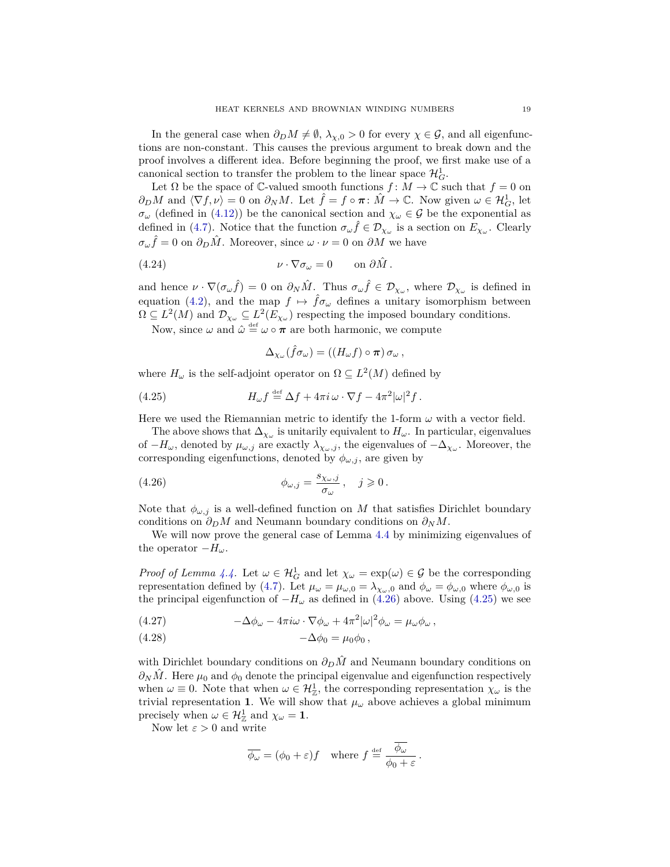In the general case when  $\partial_D M \neq \emptyset$ ,  $\lambda_{\chi,0} > 0$  for every  $\chi \in \mathcal{G}$ , and all eigenfunctions are non-constant. This causes the previous argument to break down and the proof involves a different idea. Before beginning the proof, we first make use of a canonical section to transfer the problem to the linear space  $\mathcal{H}^1_G$ .

Let  $\Omega$  be the space of  $\mathbb{C}\text{-valued smooth functions } f: M \to \mathbb{C}$  such that  $f = 0$  on  $\partial_D M$  and  $\langle \nabla f, \nu \rangle = 0$  on  $\partial_N M$ . Let  $\hat{f} = f \circ \pi \colon \hat{M} \to \mathbb{C}$ . Now given  $\omega \in \mathcal{H}_G^1$ , let  $\sigma_{\omega}$  (defined in [\(4.12\)](#page-12-1)) be the canonical section and  $\chi_{\omega} \in \mathcal{G}$  be the exponential as defined in [\(4.7\)](#page-11-2). Notice that the function  $\sigma_{\omega} \hat{f} \in \mathcal{D}_{\chi_{\omega}}$  is a section on  $E_{\chi_{\omega}}$ . Clearly  $\sigma_{\omega}\hat{f} = 0$  on  $\partial_D\hat{M}$ . Moreover, since  $\omega \cdot \nu = 0$  on  $\partial M$  we have

(4.24) 
$$
\nu \cdot \nabla \sigma_{\omega} = 0 \quad \text{on } \partial \hat{M} .
$$

and hence  $\nu \cdot \nabla(\sigma_{\omega} \hat{f}) = 0$  on  $\partial_N \hat{M}$ . Thus  $\sigma_{\omega} \hat{f} \in \mathcal{D}_{\chi_{\omega}}$ , where  $\mathcal{D}_{\chi_{\omega}}$  is defined in equation [\(4.2\)](#page-9-4), and the map  $f \mapsto \hat{f}\sigma_\omega$  defines a unitary isomorphism between  $\Omega \subseteq L^2(M)$  and  $\mathcal{D}_{\chi_\omega} \subseteq L^2(E_{\chi_\omega})$  respecting the imposed boundary conditions.

Now, since  $\omega$  and  $\hat{\omega} \stackrel{\text{def}}{=} \omega \circ \pi$  are both harmonic, we compute

<span id="page-18-2"></span><span id="page-18-1"></span><span id="page-18-0"></span>
$$
\Delta_{\chi_{\omega}}(\hat{f}\sigma_{\omega}) = ((H_{\omega}f) \circ \pi) \sigma_{\omega},
$$

where  $H_{\omega}$  is the self-adjoint operator on  $\Omega \subseteq L^2(M)$  defined by

(4.25) 
$$
H_{\omega}f \stackrel{\text{def}}{=} \Delta f + 4\pi i \omega \cdot \nabla f - 4\pi^2 |\omega|^2 f.
$$

Here we used the Riemannian metric to identify the 1-form  $\omega$  with a vector field.

The above shows that  $\Delta_{\chi_{\omega}}$  is unitarily equivalent to  $H_{\omega}$ . In particular, eigenvalues of  $-H_{\omega}$ , denoted by  $\mu_{\omega,j}$  are exactly  $\lambda_{\chi_{\omega},j}$ , the eigenvalues of  $-\Delta_{\chi_{\omega}}$ . Moreover, the corresponding eigenfunctions, denoted by  $\phi_{\omega,j}$ , are given by

(4.26) 
$$
\phi_{\omega,j} = \frac{s_{\chi_{\omega},j}}{\sigma_{\omega}}, \quad j \geqslant 0.
$$

Note that  $\phi_{\omega, j}$  is a well-defined function on *M* that satisfies Dirichlet boundary conditions on  $\partial_D M$  and Neumann boundary conditions on  $\partial_N M$ .

We will now prove the general case of Lemma [4.4](#page-10-0) by minimizing eigenvalues of the operator  $-H_{\omega}$ .

*Proof of Lemma [4.4.](#page-10-0)* Let  $\omega \in \mathcal{H}_G^1$  and let  $\chi_{\omega} = \exp(\omega) \in \mathcal{G}$  be the corresponding representation defined by [\(4.7\)](#page-11-2). Let  $\mu_{\omega} = \mu_{\omega,0} = \lambda_{\chi_{\omega},0}$  and  $\phi_{\omega} = \phi_{\omega,0}$  where  $\phi_{\omega,0}$  is the principal eigenfunction of  $-H_\omega$  as defined in [\(4.26\)](#page-18-1) above. Using [\(4.25\)](#page-18-2) we see

<span id="page-18-3"></span>(4.27) 
$$
-\Delta \phi_{\omega} - 4\pi i \omega \cdot \nabla \phi_{\omega} + 4\pi^2 |\omega|^2 \phi_{\omega} = \mu_{\omega} \phi_{\omega},
$$

$$
(4.28) \qquad \qquad -\Delta\phi_0 = \mu_0\phi_0,
$$

with Dirichlet boundary conditions on  $∂<sub>D</sub>M̂$ <sup>n</sup> and Neumann boundary conditions on  $\partial_N \hat{M}$ . Here  $\mu_0$  and  $\phi_0$  denote the principal eigenvalue and eigenfunction respectively when  $\omega \equiv 0$ . Note that when  $\omega \in \mathcal{H}_{\mathbb{Z}}^1$ , the corresponding representation  $\chi_{\omega}$  is the trivial representation 1. We will show that  $\mu_{\omega}$  above achieves a global minimum precisely when  $\omega \in \mathcal{H}_{\mathbb{Z}}^1$  and  $\chi_{\omega} = 1$ .

Now let  $\varepsilon > 0$  and write

$$
\overline{\phi_{\omega}} = (\phi_0 + \varepsilon)f \quad \text{where } f \stackrel{\text{def}}{=} \frac{\overline{\phi_{\omega}}}{\phi_0 + \varepsilon}.
$$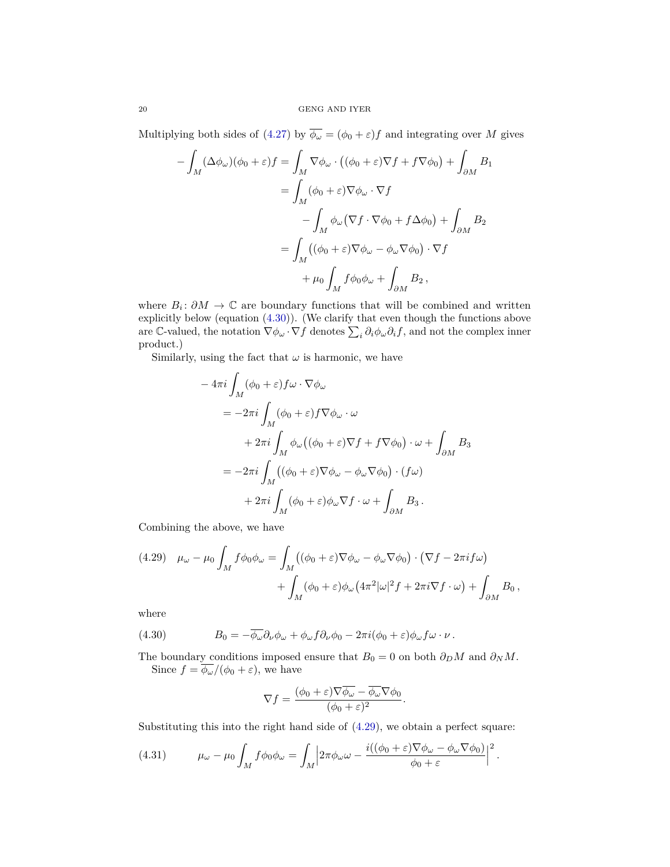Multiplying both sides of [\(4.27\)](#page-18-3) by  $\overline{\phi_{\omega}} = (\phi_0 + \varepsilon)f$  and integrating over *M* gives

$$
-\int_{M} (\Delta \phi_{\omega})(\phi_{0} + \varepsilon) f = \int_{M} \nabla \phi_{\omega} \cdot ((\phi_{0} + \varepsilon) \nabla f + f \nabla \phi_{0}) + \int_{\partial M} B_{1}
$$
  

$$
= \int_{M} (\phi_{0} + \varepsilon) \nabla \phi_{\omega} \cdot \nabla f
$$
  

$$
- \int_{M} \phi_{\omega} (\nabla f \cdot \nabla \phi_{0} + f \Delta \phi_{0}) + \int_{\partial M} B_{2}
$$
  

$$
= \int_{M} ((\phi_{0} + \varepsilon) \nabla \phi_{\omega} - \phi_{\omega} \nabla \phi_{0}) \cdot \nabla f
$$
  

$$
+ \mu_{0} \int_{M} f \phi_{0} \phi_{\omega} + \int_{\partial M} B_{2},
$$

where  $B_i: \partial M \to \mathbb{C}$  are boundary functions that will be combined and written explicitly below (equation [\(4.30\)](#page-19-0)). (We clarify that even though the functions above are C-valued, the notation  $\nabla \phi_\omega \cdot \nabla f$  denotes  $\sum_i \partial_i \phi_\omega \partial_i f$ , and not the complex inner product.)

Similarly, using the fact that  $\omega$  is harmonic, we have

$$
-4\pi i \int_M (\phi_0 + \varepsilon) f\omega \cdot \nabla \phi_\omega
$$
  
=  $-2\pi i \int_M (\phi_0 + \varepsilon) f \nabla \phi_\omega \cdot \omega$   
 $+ 2\pi i \int_M \phi_\omega ((\phi_0 + \varepsilon) \nabla f + f \nabla \phi_0) \cdot \omega + \int_{\partial M} B_3$   
=  $-2\pi i \int_M ((\phi_0 + \varepsilon) \nabla \phi_\omega - \phi_\omega \nabla \phi_0) \cdot (f\omega)$   
 $+ 2\pi i \int_M (\phi_0 + \varepsilon) \phi_\omega \nabla f \cdot \omega + \int_{\partial M} B_3.$ 

Combining the above, we have

<span id="page-19-1"></span>(4.29) 
$$
\mu_{\omega} - \mu_0 \int_M f \phi_0 \phi_{\omega} = \int_M ((\phi_0 + \varepsilon) \nabla \phi_{\omega} - \phi_{\omega} \nabla \phi_0) \cdot (\nabla f - 2\pi i f \omega) + \int_M (\phi_0 + \varepsilon) \phi_{\omega} (4\pi^2 |\omega|^2 f + 2\pi i \nabla f \cdot \omega) + \int_{\partial M} B_0,
$$

where

<span id="page-19-0"></span>(4.30) 
$$
B_0 = -\overline{\phi_\omega} \partial_\nu \phi_\omega + \phi_\omega f \partial_\nu \phi_0 - 2\pi i (\phi_0 + \varepsilon) \phi_\omega f \omega \cdot \nu.
$$

The boundary conditions imposed ensure that  $B_0 = 0$  on both  $\partial_D M$  and  $\partial_N M$ . Since  $f = \phi_\omega/(\phi_0 + \varepsilon)$ , we have

$$
\nabla f = \frac{(\phi_0 + \varepsilon) \nabla \overline{\phi_\omega} - \overline{\phi_\omega} \nabla \phi_0}{(\phi_0 + \varepsilon)^2}.
$$

Substituting this into the right hand side of [\(4.29\)](#page-19-1), we obtain a perfect square:

<span id="page-19-2"></span>(4.31) 
$$
\mu_{\omega} - \mu_0 \int_M f \phi_0 \phi_{\omega} = \int_M \left| 2\pi \phi_{\omega} \omega - \frac{i((\phi_0 + \varepsilon) \nabla \phi_{\omega} - \phi_{\omega} \nabla \phi_0)}{\phi_0 + \varepsilon} \right|^2.
$$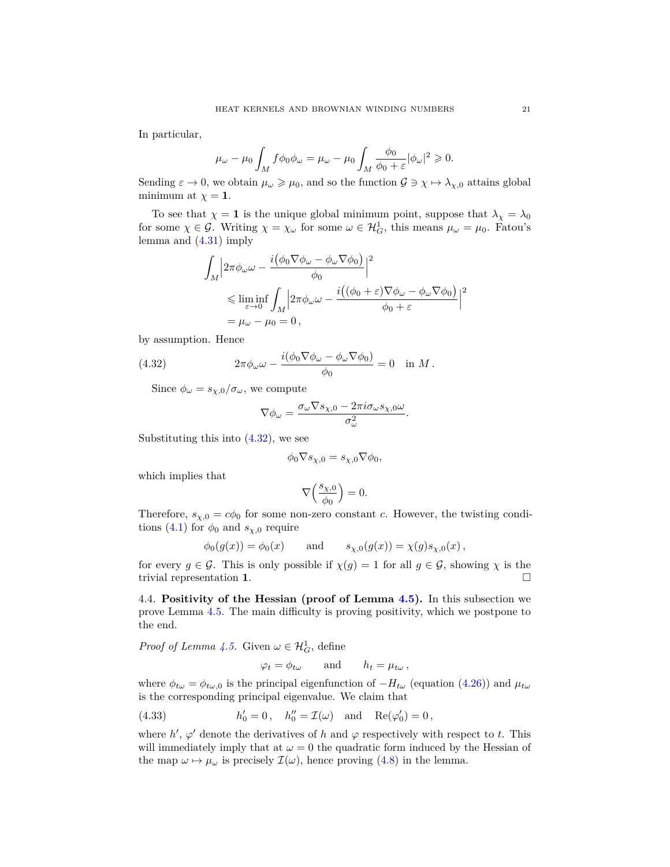In particular,

$$
\mu_{\omega}-\mu_0\int_M f\phi_0\phi_{\omega}=\mu_{\omega}-\mu_0\int_M \frac{\phi_0}{\phi_0+\varepsilon}|\phi_{\omega}|^2\geqslant 0.
$$

Sending  $\varepsilon \to 0$ , we obtain  $\mu_\omega \geq \mu_0$ , and so the function  $\mathcal{G} \ni \chi \mapsto \lambda_{\chi,0}$  attains global minimum at  $\chi = 1$ .

To see that  $\chi = 1$  is the unique global minimum point, suppose that  $\lambda_{\chi} = \lambda_0$ for some  $\chi \in \mathcal{G}$ . Writing  $\chi = \chi_{\omega}$  for some  $\omega \in \mathcal{H}_G^1$ , this means  $\mu_{\omega} = \mu_0$ . Fatou's lemma and [\(4.31\)](#page-19-2) imply

$$
\int_M \left| 2\pi \phi_\omega \omega - \frac{i(\phi_0 \nabla \phi_\omega - \phi_\omega \nabla \phi_0)}{\phi_0} \right|^2
$$
  
\$\leq\$  $\liminf_{\varepsilon \to 0} \int_M \left| 2\pi \phi_\omega \omega - \frac{i((\phi_0 + \varepsilon) \nabla \phi_\omega - \phi_\omega \nabla \phi_0)}{\phi_0 + \varepsilon} \right|^2$   
\$= \mu\_\omega - \mu\_0 = 0\$,

by assumption. Hence

(4.32) 
$$
2\pi \phi_{\omega} \omega - \frac{i(\phi_0 \nabla \phi_{\omega} - \phi_{\omega} \nabla \phi_0)}{\phi_0} = 0 \text{ in } M.
$$

Since  $\phi_{\omega} = s_{\chi,0}/\sigma_{\omega}$ , we compute

<span id="page-20-1"></span>
$$
\nabla \phi_{\omega} = \frac{\sigma_{\omega} \nabla s_{\chi,0} - 2\pi i \sigma_{\omega} s_{\chi,0} \omega}{\sigma_{\omega}^2}.
$$

Substituting this into [\(4.32\)](#page-20-1), we see

$$
\phi_0 \nabla s_{\chi,0} = s_{\chi,0} \nabla \phi_0,
$$

which implies that

$$
\nabla\Bigl(\frac{s_{\chi,0}}{\phi_0}\Bigr)=0.
$$

Therefore,  $s_{\chi,0} = c\phi_0$  for some non-zero constant *c*. However, the twisting condi-tions [\(4.1\)](#page-9-0) for  $\phi_0$  and  $s_{\chi,0}$  require

$$
\phi_0(g(x)) = \phi_0(x)
$$
 and  $s_{\chi,0}(g(x)) = \chi(g)s_{\chi,0}(x)$ ,

for every  $g \in \mathcal{G}$ . This is only possible if  $\chi(g) = 1$  for all  $g \in \mathcal{G}$ , showing  $\chi$  is the trivial representation **1**.

<span id="page-20-0"></span>4.4. **Positivity of the Hessian (proof of Lemma [4.5\)](#page-11-0).** In this subsection we prove Lemma [4.5.](#page-11-0) The main difficulty is proving positivity, which we postpone to the end.

*Proof of Lemma [4.5.](#page-11-0)* Given  $\omega \in \mathcal{H}_G^1$ , define

<span id="page-20-2"></span> $\varphi_t = \phi_t \omega$  and  $h_t = \mu_t \omega$ ,

where  $\phi_{t\omega} = \phi_{t\omega,0}$  is the principal eigenfunction of  $-H_{t\omega}$  (equation [\(4.26\)](#page-18-1)) and  $\mu_{t\omega}$ is the corresponding principal eigenvalue. We claim that

(4.33) 
$$
h'_0 = 0
$$
,  $h''_0 = \mathcal{I}(\omega)$  and  $\text{Re}(\varphi'_0) = 0$ ,

where  $h'$ ,  $\varphi'$  denote the derivatives of  $h$  and  $\varphi$  respectively with respect to  $t$ . This will immediately imply that at  $\omega = 0$  the quadratic form induced by the Hessian of the map  $\omega \mapsto \mu_{\omega}$  is precisely  $\mathcal{I}(\omega)$ , hence proving [\(4.8\)](#page-11-3) in the lemma.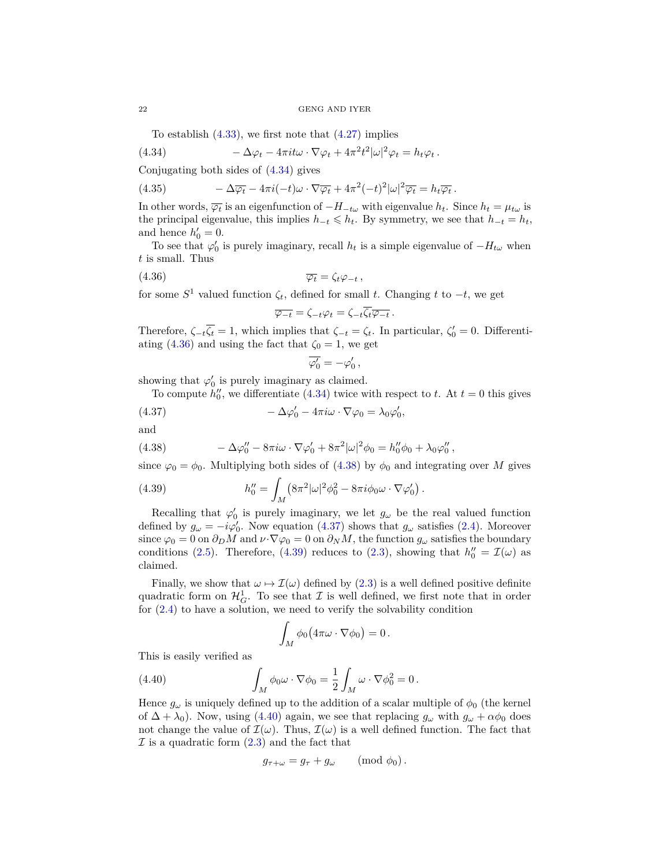<span id="page-21-0"></span>To establish  $(4.33)$ , we first note that  $(4.27)$  implies

(4.34) 
$$
-\Delta \varphi_t - 4\pi i t \omega \cdot \nabla \varphi_t + 4\pi^2 t^2 |\omega|^2 \varphi_t = h_t \varphi_t.
$$

Conjugating both sides of [\(4.34\)](#page-21-0) gives

(4.35) 
$$
-\Delta \overline{\varphi_t} - 4\pi i(-t)\omega \cdot \nabla \overline{\varphi_t} + 4\pi^2(-t)^2 |\omega|^2 \overline{\varphi_t} = h_t \overline{\varphi_t}.
$$

In other words,  $\overline{\varphi_t}$  is an eigenfunction of  $-H_{-t\omega}$  with eigenvalue  $h_t$ . Since  $h_t = \mu_{t\omega}$  is the principal eigenvalue, this implies  $h_{-t} \leq h_t$ . By symmetry, we see that  $h_{-t} = h_t$ , and hence  $h'_0 = 0$ .

To see that  $\varphi'_0$  is purely imaginary, recall  $h_t$  is a simple eigenvalue of  $-H_{t\omega}$  when *t* is small. Thus

$$
\overline{\varphi_t} = \zeta_t \varphi_{-t} ,
$$

for some  $S^1$  valued function  $\zeta_t$ , defined for small *t*. Changing *t* to  $-t$ , we get

<span id="page-21-1"></span>
$$
\overline{\varphi_{-t}} = \zeta_{-t}\varphi_t = \zeta_{-t}\overline{\zeta_t}\overline{\varphi_{-t}}.
$$

Therefore,  $\zeta_{-t}\overline{\zeta_t} = 1$ , which implies that  $\zeta_{-t} = \zeta_t$ . In particular,  $\zeta'_0 = 0$ . Differenti-ating [\(4.36\)](#page-21-1) and using the fact that  $\zeta_0 = 1$ , we get

<span id="page-21-3"></span>
$$
\overline{\varphi'_0} = -\varphi'_0 \, ,
$$

showing that  $\varphi'_0$  is purely imaginary as claimed.

To compute  $h_0''$ , we differentiate [\(4.34\)](#page-21-0) twice with respect to *t*. At  $t = 0$  this gives

(4.37) 
$$
-\Delta \varphi'_0 - 4\pi i \omega \cdot \nabla \varphi_0 = \lambda_0 \varphi'_0,
$$

and

<span id="page-21-2"></span>(4.38) 
$$
- \Delta \varphi_0'' - 8\pi i \omega \cdot \nabla \varphi_0' + 8\pi^2 |\omega|^2 \phi_0 = h_0'' \phi_0 + \lambda_0 \varphi_0'',
$$

since  $\varphi_0 = \phi_0$ . Multiplying both sides of [\(4.38\)](#page-21-2) by  $\phi_0$  and integrating over *M* gives

<span id="page-21-4"></span>(4.39) 
$$
h_0'' = \int_M (8\pi^2|\omega|^2 \phi_0^2 - 8\pi i \phi_0 \omega \cdot \nabla \varphi_0').
$$

Recalling that  $\varphi'_0$  is purely imaginary, we let  $g_\omega$  be the real valued function defined by  $g_{\omega} = -i\varphi'_0$ . Now equation [\(4.37\)](#page-21-3) shows that  $g_{\omega}$  satisfies [\(2.4\)](#page-3-3). Moreover since  $\varphi_0 = 0$  on  $\partial_D M$  and  $\nu \cdot \nabla \varphi_0 = 0$  on  $\partial_N M$ , the function  $g_\omega$  satisfies the boundary conditions [\(2.5\)](#page-4-4). Therefore, [\(4.39\)](#page-21-4) reduces to [\(2.3\)](#page-3-4), showing that  $h_0'' = \mathcal{I}(\omega)$  as claimed.

Finally, we show that  $\omega \mapsto \mathcal{I}(\omega)$  defined by [\(2.3\)](#page-3-4) is a well defined positive definite quadratic form on  $\mathcal{H}_G^1$ . To see that  $\mathcal I$  is well defined, we first note that in order for  $(2.4)$  to have a solution, we need to verify the solvability condition

<span id="page-21-5"></span>
$$
\int_M \phi_0 \big( 4\pi \omega \cdot \nabla \phi_0 \big) = 0 \, .
$$

This is easily verified as

(4.40) 
$$
\int_M \phi_0 \omega \cdot \nabla \phi_0 = \frac{1}{2} \int_M \omega \cdot \nabla \phi_0^2 = 0.
$$

Hence  $g_{\omega}$  is uniquely defined up to the addition of a scalar multiple of  $\phi_0$  (the kernel of  $\Delta + \lambda_0$ . Now, using [\(4.40\)](#page-21-5) again, we see that replacing  $g_\omega$  with  $g_\omega + \alpha \phi_0$  does not change the value of  $\mathcal{I}(\omega)$ . Thus,  $\mathcal{I}(\omega)$  is a well defined function. The fact that  $\mathcal I$  is a quadratic form  $(2.3)$  and the fact that

$$
g_{\tau+\omega}=g_{\tau}+g_{\omega}\qquad\text{(mod }\phi_0).
$$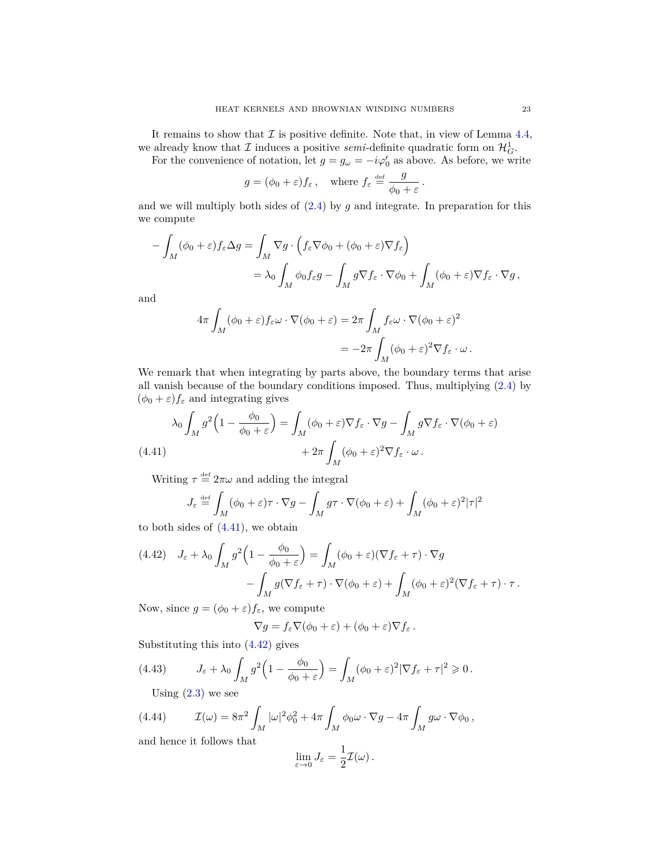It remains to show that  $\mathcal I$  is positive definite. Note that, in view of Lemma [4.4,](#page-10-0) we already know that  $\mathcal I$  induces a positive *semi*-definite quadratic form on  $\mathcal H_G^1$ .

For the convenience of notation, let  $g = g_\omega = -i\varphi'_0$  as above. As before, we write

$$
g = (\phi_0 + \varepsilon) f_{\varepsilon}, \text{ where } f_{\varepsilon} \stackrel{\text{def}}{=} \frac{g}{\phi_0 + \varepsilon}.
$$

and we will multiply both sides of [\(2.4\)](#page-3-3) by *g* and integrate. In preparation for this we compute

$$
- \int_M (\phi_0 + \varepsilon) f_{\varepsilon} \Delta g = \int_M \nabla g \cdot \left( f_{\varepsilon} \nabla \phi_0 + (\phi_0 + \varepsilon) \nabla f_{\varepsilon} \right)
$$
  
=  $\lambda_0 \int_M \phi_0 f_{\varepsilon} g - \int_M g \nabla f_{\varepsilon} \cdot \nabla \phi_0 + \int_M (\phi_0 + \varepsilon) \nabla f_{\varepsilon} \cdot \nabla g,$ 

and

$$
4\pi \int_M (\phi_0 + \varepsilon) f_{\varepsilon} \omega \cdot \nabla (\phi_0 + \varepsilon) = 2\pi \int_M f_{\varepsilon} \omega \cdot \nabla (\phi_0 + \varepsilon)^2
$$
  
= 
$$
-2\pi \int_M (\phi_0 + \varepsilon)^2 \nabla f_{\varepsilon} \cdot \omega.
$$

We remark that when integrating by parts above, the boundary terms that arise all vanish because of the boundary conditions imposed. Thus, multiplying [\(2.4\)](#page-3-3) by  $(\phi_0 + \varepsilon) f_{\varepsilon}$  and integrating gives

<span id="page-22-0"></span>
$$
\lambda_0 \int_M g^2 \left( 1 - \frac{\phi_0}{\phi_0 + \varepsilon} \right) = \int_M (\phi_0 + \varepsilon) \nabla f_\varepsilon \cdot \nabla g - \int_M g \nabla f_\varepsilon \cdot \nabla (\phi_0 + \varepsilon)
$$
\n
$$
(4.41)
$$
\n
$$
+ 2\pi \int_M (\phi_0 + \varepsilon)^2 \nabla f_\varepsilon \cdot \omega.
$$

Writing  $\tau \stackrel{\text{def}}{=} 2\pi\omega$  and adding the integral

$$
J_{\varepsilon} \stackrel{\text{def}}{=} \int_{M} (\phi_0 + \varepsilon)\tau \cdot \nabla g - \int_{M} g\tau \cdot \nabla(\phi_0 + \varepsilon) + \int_{M} (\phi_0 + \varepsilon)^2 |\tau|^2
$$

to both sides of [\(4.41\)](#page-22-0), we obtain

<span id="page-22-1"></span>
$$
(4.42) \quad J_{\varepsilon} + \lambda_0 \int_M g^2 \left( 1 - \frac{\phi_0}{\phi_0 + \varepsilon} \right) = \int_M (\phi_0 + \varepsilon)(\nabla f_{\varepsilon} + \tau) \cdot \nabla g
$$

$$
- \int_M g(\nabla f_{\varepsilon} + \tau) \cdot \nabla (\phi_0 + \varepsilon) + \int_M (\phi_0 + \varepsilon)^2 (\nabla f_{\varepsilon} + \tau) \cdot \tau.
$$

Now, since  $g = (\phi_0 + \varepsilon) f_{\varepsilon}$ , we compute

$$
\nabla g = f_{\varepsilon} \nabla (\phi_0 + \varepsilon) + (\phi_0 + \varepsilon) \nabla f_{\varepsilon}.
$$

Substituting this into [\(4.42\)](#page-22-1) gives

(4.43) 
$$
J_{\varepsilon} + \lambda_0 \int_M g^2 \left( 1 - \frac{\phi_0}{\phi_0 + \varepsilon} \right) = \int_M (\phi_0 + \varepsilon)^2 |\nabla f_{\varepsilon} + \tau|^2 \geq 0.
$$

<span id="page-22-2"></span>Using  $(2.3)$  we see

(4.44) 
$$
\mathcal{I}(\omega) = 8\pi^2 \int_M |\omega|^2 \phi_0^2 + 4\pi \int_M \phi_0 \omega \cdot \nabla g - 4\pi \int_M g \omega \cdot \nabla \phi_0,
$$

and hence it follows that

$$
\lim_{\varepsilon \to 0} J_{\varepsilon} = \frac{1}{2} \mathcal{I}(\omega) .
$$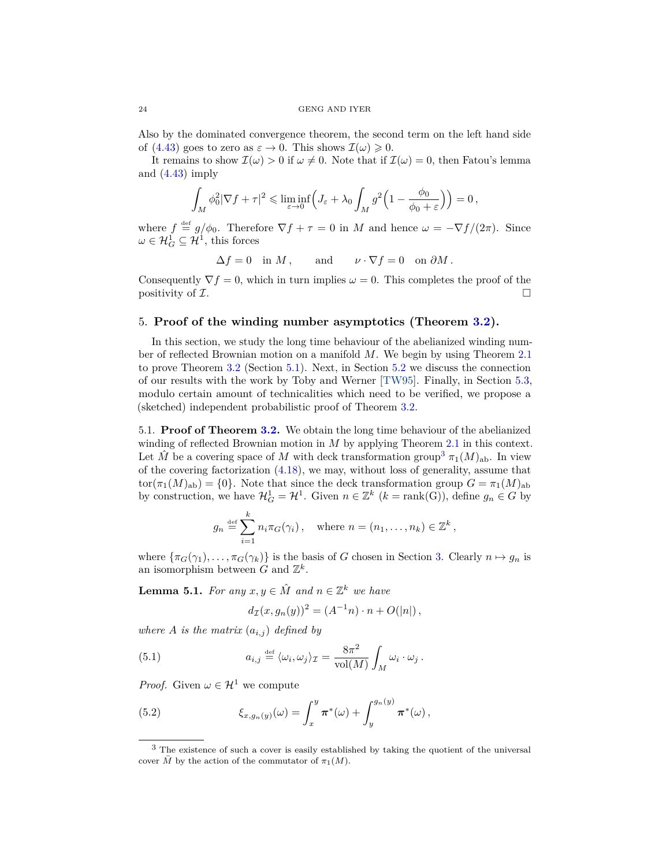Also by the dominated convergence theorem, the second term on the left hand side of [\(4.43\)](#page-22-2) goes to zero as  $\varepsilon \to 0$ . This shows  $\mathcal{I}(\omega) \geq 0$ .

It remains to show  $\mathcal{I}(\omega) > 0$  if  $\omega \neq 0$ . Note that if  $\mathcal{I}(\omega) = 0$ , then Fatou's lemma and  $(4.43)$  imply

$$
\int_M \phi_0^2 |\nabla f + \tau|^2 \leqslant \liminf_{\varepsilon \to 0} \left( J_\varepsilon + \lambda_0 \int_M g^2 \left( 1 - \frac{\phi_0}{\phi_0 + \varepsilon} \right) \right) = 0,
$$

where  $f \stackrel{\text{def}}{=} g/\phi_0$ . Therefore  $\nabla f + \tau = 0$  in *M* and hence  $\omega = -\nabla f/(2\pi)$ . Since  $\omega \in \mathcal{H}_G^1 \subseteq \mathcal{H}^1$ , this forces

$$
\Delta f = 0 \quad \text{in } M \,, \qquad \text{and} \qquad \nu \cdot \nabla f = 0 \quad \text{on } \partial M \,.
$$

Consequently  $\nabla f = 0$ , which in turn implies  $\omega = 0$ . This completes the proof of the positivity of  $\mathcal{I}$ .

### <span id="page-23-1"></span>5. **Proof of the winding number asymptotics (Theorem [3.2\)](#page-6-0).**

In this section, we study the long time behaviour of the abelianized winding number of reflected Brownian motion on a manifold *M*. We begin by using Theorem [2.1](#page-3-0) to prove Theorem [3.2](#page-6-0) (Section [5.1\)](#page-23-0). Next, in Section [5.2](#page-25-0) we discuss the connection of our results with the work by Toby and Werner [\[TW95\]](#page-29-2). Finally, in Section [5.3,](#page-27-0) modulo certain amount of technicalities which need to be verified, we propose a (sketched) independent probabilistic proof of Theorem [3.2.](#page-6-0)

<span id="page-23-0"></span>5.1. **Proof of Theorem [3.2.](#page-6-0)** We obtain the long time behaviour of the abelianized winding of reflected Brownian motion in *M* by applying Theorem [2.1](#page-3-0) in this context. Let  $\hat{M}$  be a covering space of *M* with deck transformation group<sup>[3](#page-23-2)</sup>  $\pi_1(M)_{ab}$ . In view of the covering factorization [\(4.18\)](#page-15-0), we may, without loss of generality, assume that  $\text{tor}(\pi_1(M)_{ab}) = \{0\}.$  Note that since the deck transformation group  $G = \pi_1(M)_{ab}$ by construction, we have  $\mathcal{H}_G^1 = \mathcal{H}^1$ . Given  $n \in \mathbb{Z}^k$   $(k = \text{rank}(G))$ , define  $g_n \in G$  by

$$
g_n \stackrel{\text{def}}{=} \sum_{i=1}^k n_i \pi_G(\gamma_i), \quad \text{where } n = (n_1, \dots, n_k) \in \mathbb{Z}^k,
$$

where  $\{\pi_G(\gamma_1), \ldots, \pi_G(\gamma_k)\}\$ is the basis of *G* chosen in Section [3.](#page-5-0) Clearly  $n \mapsto g_n$  is an isomorphism between  $G$  and  $\mathbb{Z}^k$ .

<span id="page-23-5"></span>**Lemma 5.1.** *For any*  $x, y \in \hat{M}$  *and*  $n \in \mathbb{Z}^k$  *we have* 

<span id="page-23-4"></span><span id="page-23-3"></span>
$$
d_{\mathcal{I}}(x, g_n(y))^2 = (A^{-1}n) \cdot n + O(|n|),
$$

*where A is the matrix*  $(a_{i,j})$  *defined by* 

(5.1) 
$$
a_{i,j} \stackrel{\text{def}}{=} \langle \omega_i, \omega_j \rangle_{\mathcal{I}} = \frac{8\pi^2}{\text{vol}(M)} \int_M \omega_i \cdot \omega_j.
$$

*Proof.* Given  $\omega \in \mathcal{H}^1$  we compute

(5.2) 
$$
\xi_{x,g_n(y)}(\omega) = \int_x^y \pi^*(\omega) + \int_y^{g_n(y)} \pi^*(\omega),
$$

<span id="page-23-2"></span><sup>3</sup> The existence of such a cover is easily established by taking the quotient of the universal cover  $\overline{M}$  by the action of the commutator of  $\pi_1(M)$ .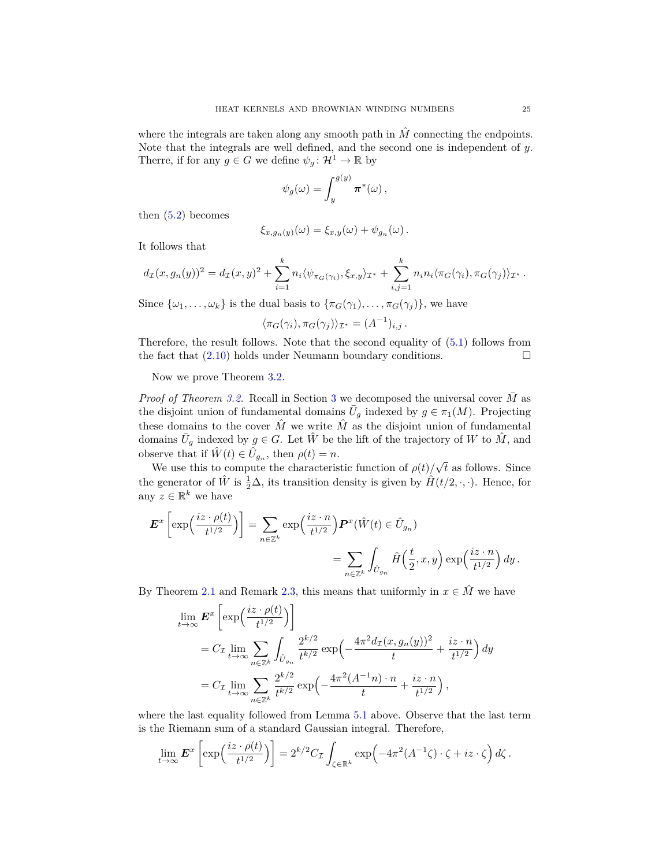where the integrals are taken along any smooth path in  $\hat{M}$  connecting the endpoints. Note that the integrals are well defined, and the second one is independent of *y*. Therre, if for any  $g \in G$  we define  $\psi_g : \mathcal{H}^1 \to \mathbb{R}$  by

$$
\psi_g(\omega) = \int_y^{g(y)} \pi^*(\omega) \,,
$$

then  $(5.2)$  becomes

$$
\xi_{x,g_n(y)}(\omega)=\xi_{x,y}(\omega)+\psi_{g_n}(\omega).
$$

It follows that

$$
d_{\mathcal{I}}(x,g_n(y))^2 = d_{\mathcal{I}}(x,y)^2 + \sum_{i=1}^k n_i \langle \psi_{\pi_G(\gamma_i)}, \xi_{x,y} \rangle_{\mathcal{I}^*} + \sum_{i,j=1}^k n_i n_i \langle \pi_G(\gamma_i), \pi_G(\gamma_j) \rangle_{\mathcal{I}^*}.
$$

Since  $\{\omega_1, \ldots, \omega_k\}$  is the dual basis to  $\{\pi_G(\gamma_1), \ldots, \pi_G(\gamma_i)\}\)$ , we have

$$
\langle \pi_G(\gamma_i), \pi_G(\gamma_j) \rangle_{\mathcal{I}^*} = (A^{-1})_{i,j}.
$$

Therefore, the result follows. Note that the second equality of [\(5.1\)](#page-23-4) follows from the fact that  $(2.10)$  holds under Neumann boundary conditions.

Now we prove Theorem [3.2.](#page-6-0)

*Proof of Theorem [3.2.](#page-6-0)* Recall in Section [3](#page-5-0) we decomposed the universal cover  $\overline{M}$  as the disjoint union of fundamental domains  $\bar{U}_g$  indexed by  $g \in \pi_1(M)$ . Projecting these domains to the cover  $\hat{M}$  we write  $\hat{M}$  as the disjoint union of fundamental domains  $\bar{U}_g$  indexed by  $g \in G$ . Let  $\hat{W}$  be the lift of the trajectory of W to  $\hat{M}$ , and observe that if  $\hat{W}(t) \in \hat{U}_{g_n}$ , then  $\rho(t) = n$ . √

We use this to compute the characteristic function of  $\rho(t)$ *t* as follows. Since the generator of  $\hat{W}$  is  $\frac{1}{2}\Delta$ , its transition density is given by  $\hat{H}(t/2, \cdot, \cdot)$ . Hence, for any  $z \in \mathbb{R}^k$  we have

$$
\mathbf{E}^x \left[ \exp\left(\frac{iz \cdot \rho(t)}{t^{1/2}}\right) \right] = \sum_{n \in \mathbb{Z}^k} \exp\left(\frac{iz \cdot n}{t^{1/2}}\right) \mathbf{P}^x(\hat{W}(t) \in \hat{U}_{g_n})
$$
  
= 
$$
\sum_{n \in \mathbb{Z}^k} \int_{\hat{U}_{g_n}} \hat{H}\left(\frac{t}{2}, x, y\right) \exp\left(\frac{iz \cdot n}{t^{1/2}}\right) dy.
$$

By Theorem [2.1](#page-3-0) and Remark [2.3,](#page-4-2) this means that uniformly in  $x \in \hat{M}$  we have

$$
\lim_{t \to \infty} \mathbf{E}^x \left[ \exp\left(\frac{iz \cdot \rho(t)}{t^{1/2}}\right) \right]
$$
\n
$$
= C_{\mathcal{I}} \lim_{t \to \infty} \sum_{n \in \mathbb{Z}^k} \int_{\hat{U}_{g_n}} \frac{2^{k/2}}{t^{k/2}} \exp\left(-\frac{4\pi^2 d_{\mathcal{I}}(x, g_n(y))^2}{t} + \frac{iz \cdot n}{t^{1/2}}\right) dy
$$
\n
$$
= C_{\mathcal{I}} \lim_{t \to \infty} \sum_{n \in \mathbb{Z}^k} \frac{2^{k/2}}{t^{k/2}} \exp\left(-\frac{4\pi^2 (A^{-1}n) \cdot n}{t} + \frac{iz \cdot n}{t^{1/2}}\right),
$$

where the last equality followed from Lemma [5.1](#page-23-5) above. Observe that the last term is the Riemann sum of a standard Gaussian integral. Therefore,

$$
\lim_{t\to\infty} \mathbf{E}^x \left[ \exp\left(\frac{iz \cdot \rho(t)}{t^{1/2}}\right) \right] = 2^{k/2} C_{\mathcal{I}} \int_{\zeta \in \mathbb{R}^k} \exp\left(-4\pi^2 (A^{-1}\zeta) \cdot \zeta + iz \cdot \zeta\right) d\zeta.
$$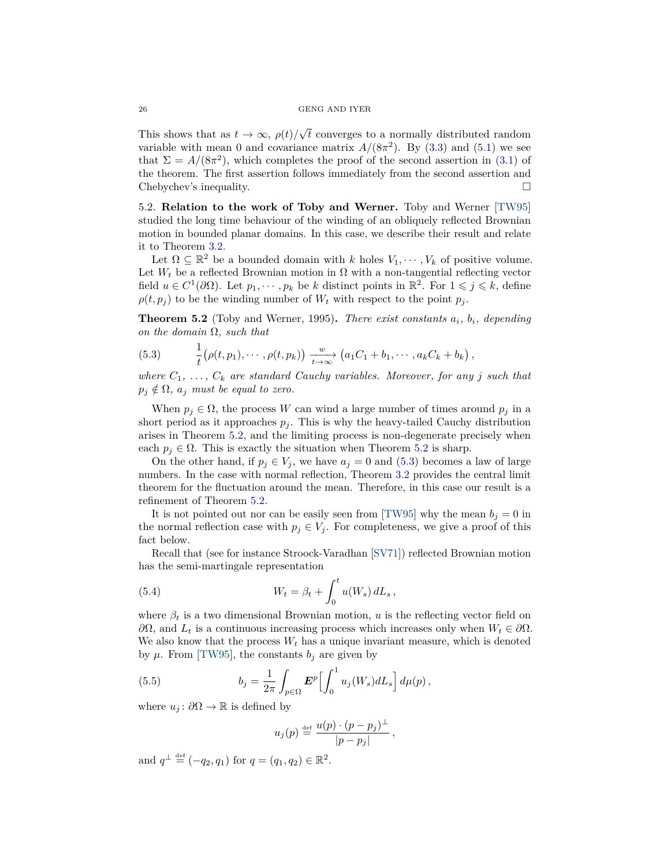#### 26 GENG AND IYER

This shows that as  $t \to \infty$ ,  $\rho(t)/$ √ *t* converges to a normally distributed random variable with mean 0 and covariance matrix  $A/(8\pi^2)$ . By [\(3.3\)](#page-7-1) and [\(5.1\)](#page-23-4) we see that  $\Sigma = A/(8\pi^2)$ , which completes the proof of the second assertion in [\(3.1\)](#page-6-2) of the theorem. The first assertion follows immediately from the second assertion and Chebychev's inequality.

<span id="page-25-0"></span>5.2. **Relation to the work of Toby and Werner.** Toby and Werner [\[TW95\]](#page-29-2) studied the long time behaviour of the winding of an obliquely reflected Brownian motion in bounded planar domains. In this case, we describe their result and relate it to Theorem [3.2.](#page-6-0)

Let  $\Omega \subseteq \mathbb{R}^2$  be a bounded domain with *k* holes  $V_1, \dots, V_k$  of positive volume. Let  $W_t$  be a reflected Brownian motion in  $\Omega$  with a non-tangential reflecting vector field  $u \in C^1(\partial\Omega)$ . Let  $p_1, \dots, p_k$  be *k* distinct points in  $\mathbb{R}^2$ . For  $1 \leqslant j \leqslant k$ , define  $\rho(t, p_j)$  to be the winding number of  $W_t$  with respect to the point  $p_j$ .

<span id="page-25-1"></span>**Theorem 5.2** (Toby and Werner, 1995)**.** *There exist constants ai, bi, depending on the domain* Ω*, such that*

<span id="page-25-2"></span>(5.3) 
$$
\frac{1}{t} \big(\rho(t, p_1), \cdots, \rho(t, p_k)\big) \xrightarrow[t \to \infty]{w} \big(a_1 C_1 + b_1, \cdots, a_k C_k + b_k\big),
$$

*where*  $C_1, \ldots, C_k$  *are standard Cauchy variables. Moreover, for any j such that*  $p_j \notin \Omega$ ,  $a_j$  *must be equal to zero.* 

When  $p_j \in \Omega$ , the process *W* can wind a large number of times around  $p_j$  in a short period as it approaches  $p_j$ . This is why the heavy-tailed Cauchy distribution arises in Theorem [5.2,](#page-25-1) and the limiting process is non-degenerate precisely when each  $p_j \in \Omega$ . This is exactly the situation when Theorem [5.2](#page-25-1) is sharp.

On the other hand, if  $p_j \in V_j$ , we have  $a_j = 0$  and [\(5.3\)](#page-25-2) becomes a law of large numbers. In the case with normal reflection, Theorem [3.2](#page-6-0) provides the central limit theorem for the fluctuation around the mean. Therefore, in this case our result is a refinement of Theorem [5.2.](#page-25-1)

It is not pointed out nor can be easily seen from [\[TW95\]](#page-29-2) why the mean  $b_j = 0$  in the normal reflection case with  $p_j \in V_j$ . For completeness, we give a proof of this fact below.

Recall that (see for instance Stroock-Varadhan [\[SV71\]](#page-29-7)) reflected Brownian motion has the semi-martingale representation

<span id="page-25-3"></span>(5.4) 
$$
W_t = \beta_t + \int_0^t u(W_s) dL_s,
$$

where  $\beta_t$  is a two dimensional Brownian motion, *u* is the reflecting vector field on  $∂Ω$ , and *L*<sup>*t*</sup> is a continuous increasing process which increases only when *W*<sup>*t*</sup> ∈  $∂Ω$ . We also know that the process  $W_t$  has a unique invariant measure, which is denoted by  $\mu$ . From [\[TW95\]](#page-29-2), the constants  $b_j$  are given by

(5.5) 
$$
b_j = \frac{1}{2\pi} \int_{p \in \Omega} \boldsymbol{E}^p \Bigl[ \int_0^1 u_j(W_s) dL_s \Bigr] d\mu(p) ,
$$

where  $u_j$ :  $\partial\Omega \to \mathbb{R}$  is defined by

$$
u_j(p) \stackrel{\text{def}}{=} \frac{u(p) \cdot (p - p_j)^{\perp}}{|p - p_j|},
$$

and  $q^{\perp} \stackrel{\text{def}}{=} (-q_2, q_1)$  for  $q = (q_1, q_2) \in \mathbb{R}^2$ .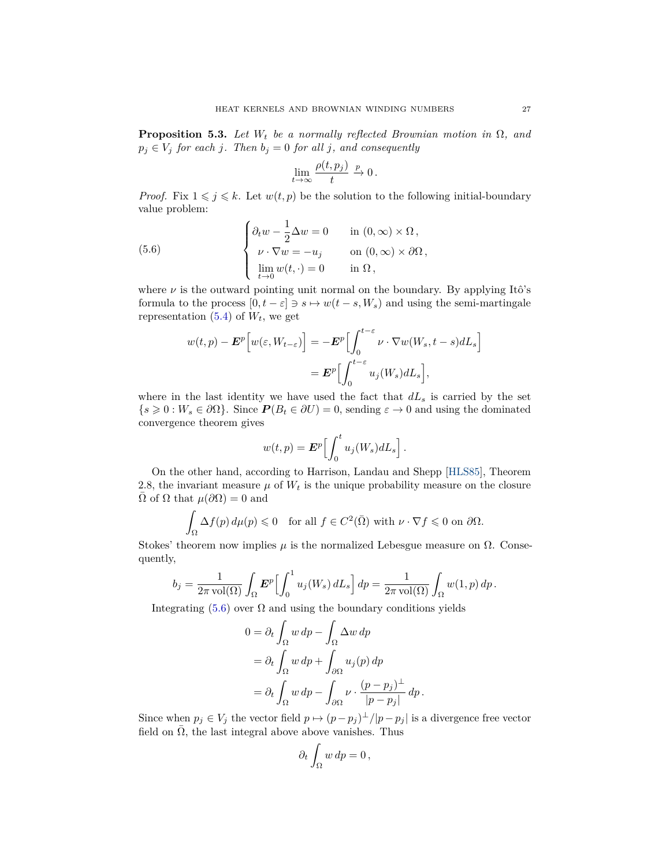<span id="page-26-0"></span>**Proposition 5.3.** *Let W<sup>t</sup> be a normally reflected Brownian motion in* Ω*, and*  $p_j \in V_j$  *for each j. Then*  $b_j = 0$  *for all j, and consequently* 

<span id="page-26-1"></span>
$$
\lim_{t \to \infty} \frac{\rho(t, p_j)}{t} \xrightarrow{p} 0.
$$

*Proof.* Fix  $1 \leq j \leq k$ . Let  $w(t, p)$  be the solution to the following initial-boundary value problem:

(5.6) 
$$
\begin{cases} \partial_t w - \frac{1}{2} \Delta w = 0 & \text{in } (0, \infty) \times \Omega, \\ \nu \cdot \nabla w = -u_j & \text{on } (0, \infty) \times \partial \Omega, \\ \lim_{t \to 0} w(t, \cdot) = 0 & \text{in } \Omega, \end{cases}
$$

where  $\nu$  is the outward pointing unit normal on the boundary. By applying Itô's formula to the process  $[0, t - \varepsilon] \ni s \mapsto w(t - s, W_s)$  and using the semi-martingale representation  $(5.4)$  of  $W_t$ , we get

$$
w(t,p) - \mathbf{E}^{p} \Big[ w(\varepsilon, W_{t-\varepsilon}) \Big] = -\mathbf{E}^{p} \Big[ \int_{0}^{t-\varepsilon} \nu \cdot \nabla w(W_{s}, t-s) dL_{s} \Big] = \mathbf{E}^{p} \Big[ \int_{0}^{t-\varepsilon} u_{j}(W_{s}) dL_{s} \Big],
$$

where in the last identity we have used the fact that  $dL_s$  is carried by the set  ${s \geq 0 : W_s \in \partial\Omega}$ . Since  $P(B_t \in \partial U) = 0$ , sending  $\varepsilon \to 0$  and using the dominated convergence theorem gives

$$
w(t,p) = \boldsymbol{E}^p \Big[ \int_0^t u_j(W_s) dL_s \Big].
$$

On the other hand, according to Harrison, Landau and Shepp [\[HLS85\]](#page-28-14), Theorem 2.8, the invariant measure  $\mu$  of  $W_t$  is the unique probability measure on the closure  $Ω$  of  $Ω$  that  $μ(∂Ω) = 0$  and

$$
\int_{\Omega} \Delta f(p) d\mu(p) \leq 0 \quad \text{for all } f \in C^{2}(\overline{\Omega}) \text{ with } \nu \cdot \nabla f \leq 0 \text{ on } \partial \Omega.
$$

Stokes' theorem now implies  $\mu$  is the normalized Lebesgue measure on  $\Omega$ . Consequently,

$$
b_j = \frac{1}{2\pi \operatorname{vol}(\Omega)} \int_{\Omega} \boldsymbol{E}^p \Bigl[ \int_0^1 u_j(W_s) dL_s \Bigr] dp = \frac{1}{2\pi \operatorname{vol}(\Omega)} \int_{\Omega} w(1, p) dp.
$$

Integrating [\(5.6\)](#page-26-1) over  $\Omega$  and using the boundary conditions yields

$$
0 = \partial_t \int_{\Omega} w \, dp - \int_{\Omega} \Delta w \, dp
$$
  
=  $\partial_t \int_{\Omega} w \, dp + \int_{\partial \Omega} u_j(p) \, dp$   
=  $\partial_t \int_{\Omega} w \, dp - \int_{\partial \Omega} \nu \cdot \frac{(p - p_j)^{\perp}}{|p - p_j|} \, dp$ .

Since when  $p_j \in V_j$  the vector field  $p \mapsto (p - p_j)^{\perp}/|p - p_j|$  is a divergence free vector field on  $\Omega$ , the last integral above above vanishes. Thus

$$
\partial_t \int_{\Omega} w \, dp = 0 \,,
$$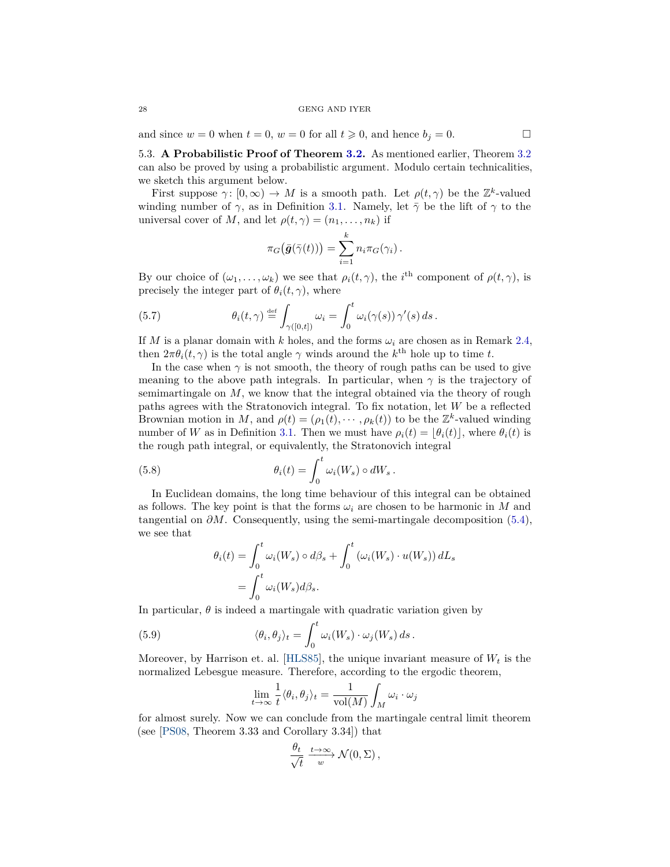and since  $w = 0$  when  $t = 0$ ,  $w = 0$  for all  $t \ge 0$ , and hence  $b_j = 0$ .

<span id="page-27-0"></span>5.3. **A Probabilistic Proof of Theorem [3.2.](#page-6-0)** As mentioned earlier, Theorem [3.2](#page-6-0) can also be proved by using a probabilistic argument. Modulo certain technicalities, we sketch this argument below.

First suppose  $\gamma: [0, \infty) \to M$  is a smooth path. Let  $\rho(t, \gamma)$  be the  $\mathbb{Z}^k$ -valued winding number of  $\gamma$ , as in Definition [3.1.](#page-6-1) Namely, let  $\bar{\gamma}$  be the lift of  $\gamma$  to the universal cover of *M*, and let  $\rho(t, \gamma) = (n_1, \dots, n_k)$  if

$$
\pi_G(\bar{g}(\bar{\gamma}(t))) = \sum_{i=1}^k n_i \pi_G(\gamma_i).
$$

By our choice of  $(\omega_1, \ldots, \omega_k)$  we see that  $\rho_i(t, \gamma)$ , the *i*<sup>th</sup> component of  $\rho(t, \gamma)$ , is precisely the integer part of  $\theta_i(t, \gamma)$ , where

(5.7) 
$$
\theta_i(t,\gamma) \stackrel{\text{def}}{=} \int_{\gamma([0,t])} \omega_i = \int_0^t \omega_i(\gamma(s)) \gamma'(s) ds.
$$

If *M* is a planar domain with *k* holes, and the forms  $\omega_i$  are chosen as in Remark [2.4,](#page-5-1) then  $2\pi\theta_i(t,\gamma)$  is the total angle  $\gamma$  winds around the  $k^{\text{th}}$  hole up to time *t*.

In the case when  $\gamma$  is not smooth, the theory of rough paths can be used to give meaning to the above path integrals. In particular, when  $\gamma$  is the trajectory of semimartingale on *M*, we know that the integral obtained via the theory of rough paths agrees with the Stratonovich integral. To fix notation, let *W* be a reflected Brownian motion in *M*, and  $\rho(t) = (\rho_1(t), \cdots, \rho_k(t))$  to be the  $\mathbb{Z}^k$ -valued winding number of *W* as in Definition [3.1.](#page-6-1) Then we must have  $\rho_i(t) = |\theta_i(t)|$ , where  $\theta_i(t)$  is the rough path integral, or equivalently, the Stratonovich integral

(5.8) 
$$
\theta_i(t) = \int_0^t \omega_i(W_s) \circ dW_s.
$$

In Euclidean domains, the long time behaviour of this integral can be obtained as follows. The key point is that the forms  $\omega_i$  are chosen to be harmonic in M and tangential on  $\partial M$ . Consequently, using the semi-martingale decomposition [\(5.4\)](#page-25-3), we see that

<span id="page-27-2"></span>
$$
\theta_i(t) = \int_0^t \omega_i(W_s) \circ d\beta_s + \int_0^t (\omega_i(W_s) \cdot u(W_s)) dL_s
$$
  
= 
$$
\int_0^t \omega_i(W_s) d\beta_s.
$$

In particular,  $\theta$  is indeed a martingale with quadratic variation given by

(5.9) 
$$
\langle \theta_i, \theta_j \rangle_t = \int_0^t \omega_i(W_s) \cdot \omega_j(W_s) ds.
$$

Moreover, by Harrison et. al. [\[HLS85\]](#page-28-14), the unique invariant measure of  $W_t$  is the normalized Lebesgue measure. Therefore, according to the ergodic theorem,

<span id="page-27-1"></span>
$$
\lim_{t \to \infty} \frac{1}{t} \langle \theta_i, \theta_j \rangle_t = \frac{1}{\text{vol}(M)} \int_M \omega_i \cdot \omega_j
$$

for almost surely. Now we can conclude from the martingale central limit theorem (see [\[PS08,](#page-28-15) Theorem 3.33 and Corollary 3.34]) that

$$
\frac{\theta_t}{\sqrt{t}} \xrightarrow{t \to \infty} \mathcal{N}(0, \Sigma),
$$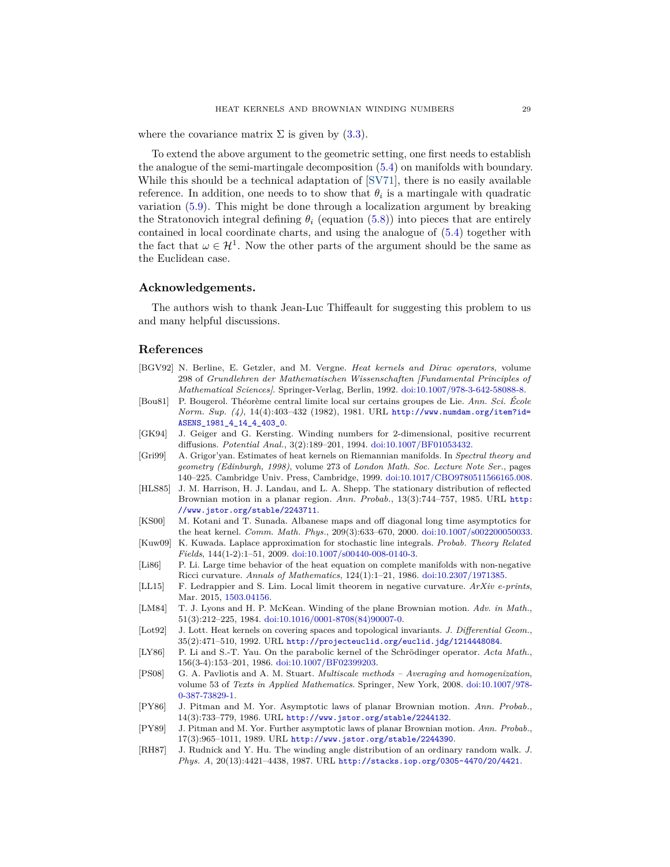where the covariance matrix  $\Sigma$  is given by [\(3.3\)](#page-7-1).

To extend the above argument to the geometric setting, one first needs to establish the analogue of the semi-martingale decomposition [\(5.4\)](#page-25-3) on manifolds with boundary. While this should be a technical adaptation of [\[SV71\]](#page-29-7), there is no easily available reference. In addition, one needs to to show that  $\theta_i$  is a martingale with quadratic variation [\(5.9\)](#page-27-1). This might be done through a localization argument by breaking the Stratonovich integral defining  $\theta_i$  (equation [\(5.8\)](#page-27-2)) into pieces that are entirely contained in local coordinate charts, and using the analogue of [\(5.4\)](#page-25-3) together with the fact that  $\omega \in \mathcal{H}^1$ . Now the other parts of the argument should be the same as the Euclidean case.

### **Acknowledgements.**

The authors wish to thank Jean-Luc Thiffeault for suggesting this problem to us and many helpful discussions.

### **References**

- <span id="page-28-6"></span>[BGV92] N. Berline, E. Getzler, and M. Vergne. *Heat kernels and Dirac operators*, volume 298 of *Grundlehren der Mathematischen Wissenschaften [Fundamental Principles of Mathematical Sciences]*. Springer-Verlag, Berlin, 1992. [doi:10.1007/978-3-642-58088-8.](http://dx.doi.org/10.1007/978-3-642-58088-8)
- <span id="page-28-8"></span>[Bou81] P. Bougerol. Théorème central limite local sur certains groupes de Lie. *Ann. Sci. École Norm. Sup. (4)*, 14(4):403–432 (1982), 1981. URL [http://www.numdam.org/item?id=](http://www.numdam.org/item?id=ASENS_1981_4_14_4_403_0) [ASENS\\_1981\\_4\\_14\\_4\\_403\\_0](http://www.numdam.org/item?id=ASENS_1981_4_14_4_403_0).
- <span id="page-28-3"></span>[GK94] J. Geiger and G. Kersting. Winding numbers for 2-dimensional, positive recurrent diffusions. *Potential Anal.*, 3(2):189–201, 1994. [doi:10.1007/BF01053432.](http://dx.doi.org/10.1007/BF01053432)
- <span id="page-28-7"></span>[Gri99] A. Grigor'yan. Estimates of heat kernels on Riemannian manifolds. In *Spectral theory and geometry (Edinburgh, 1998)*, volume 273 of *London Math. Soc. Lecture Note Ser.*, pages 140–225. Cambridge Univ. Press, Cambridge, 1999. [doi:10.1017/CBO9780511566165.008.](http://dx.doi.org/10.1017/CBO9780511566165.008)
- <span id="page-28-14"></span>[HLS85] J. M. Harrison, H. J. Landau, and L. A. Shepp. The stationary distribution of reflected Brownian motion in a planar region. *Ann. Probab.*, 13(3):744–757, 1985. URL [http:](http://www.jstor.org/stable/2243711) [//www.jstor.org/stable/2243711](http://www.jstor.org/stable/2243711).
- <span id="page-28-12"></span>[KS00] M. Kotani and T. Sunada. Albanese maps and off diagonal long time asymptotics for the heat kernel. *Comm. Math. Phys.*, 209(3):633–670, 2000. [doi:10.1007/s002200050033.](http://dx.doi.org/10.1007/s002200050033)
- <span id="page-28-5"></span>[Kuw09] K. Kuwada. Laplace approximation for stochastic line integrals. *Probab. Theory Related Fields*, 144(1-2):1–51, 2009. [doi:10.1007/s00440-008-0140-3.](http://dx.doi.org/10.1007/s00440-008-0140-3)
- <span id="page-28-10"></span>[Li86] P. Li. Large time behavior of the heat equation on complete manifolds with non-negative Ricci curvature. *Annals of Mathematics*, 124(1):1–21, 1986. [doi:10.2307/1971385.](http://dx.doi.org/10.2307/1971385)
- <span id="page-28-13"></span>[LL15] F. Ledrappier and S. Lim. Local limit theorem in negative curvature. *ArXiv e-prints*, Mar. 2015, [1503.04156.](http://arxiv.org/abs/1503.04156)
- <span id="page-28-4"></span>[LM84] T. J. Lyons and H. P. McKean. Winding of the plane Brownian motion. *Adv. in Math.*, 51(3):212–225, 1984. [doi:10.1016/0001-8708\(84\)90007-0.](http://dx.doi.org/10.1016/0001-8708(84)90007-0)
- <span id="page-28-11"></span>[Lot92] J. Lott. Heat kernels on covering spaces and topological invariants. *J. Differential Geom.*, 35(2):471–510, 1992. URL <http://projecteuclid.org/euclid.jdg/1214448084>.
- <span id="page-28-9"></span>[LY86] P. Li and S.-T. Yau. On the parabolic kernel of the Schrödinger operator. *Acta Math.*, 156(3-4):153–201, 1986. [doi:10.1007/BF02399203.](http://dx.doi.org/10.1007/BF02399203)
- <span id="page-28-15"></span>[PS08] G. A. Pavliotis and A. M. Stuart. *Multiscale methods – Averaging and homogenization*, volume 53 of *Texts in Applied Mathematics*. Springer, New York, 2008. [doi:10.1007/978-](http://dx.doi.org/10.1007/978-0-387-73829-1) [0-387-73829-1.](http://dx.doi.org/10.1007/978-0-387-73829-1)
- <span id="page-28-1"></span>[PY86] J. Pitman and M. Yor. Asymptotic laws of planar Brownian motion. *Ann. Probab.*, 14(3):733–779, 1986. URL <http://www.jstor.org/stable/2244132>.
- <span id="page-28-2"></span>[PY89] J. Pitman and M. Yor. Further asymptotic laws of planar Brownian motion. *Ann. Probab.*, 17(3):965–1011, 1989. URL <http://www.jstor.org/stable/2244390>.
- <span id="page-28-0"></span>[RH87] J. Rudnick and Y. Hu. The winding angle distribution of an ordinary random walk. *J. Phys. A*, 20(13):4421–4438, 1987. URL <http://stacks.iop.org/0305-4470/20/4421>.